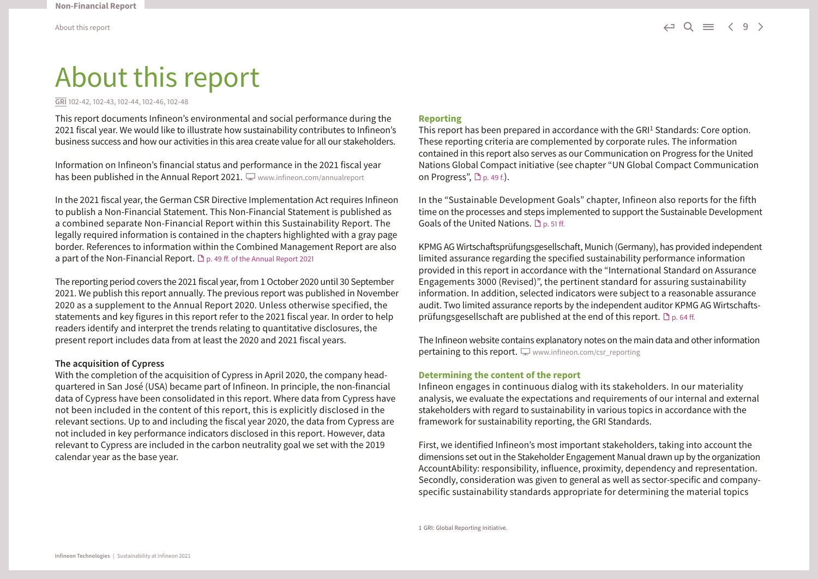# About this report

**GRI** 102-42, 102-43, 102-44, 102-46, 102-48

This report documents Infineon's environmental and social performance during the 2021 fiscal year. We would like to illustrate how sustainability contributes to Infineon's business success and how our activities in this area create value for all our stakeholders.

Information on Infineon's financial status and performance in the 2021 fiscal year has been published in the Annual Report 2021.  $\Box$  [www.infineon.com/annualreport](http://www.infineon.com/annualreport)

In the 2021 fiscal year, the German CSR Directive Implementation Act requires Infineon to publish a Non-Financial Statement. This Non-Financial Statement is published as a combined separate Non-Financial Report within this Sustainability Report. The legally required information is contained in the chapters highlighted with a gray page border. References to information within the Combined Management Report are also a part of the Non-Financial Report.  $\mathbb D$  p. 49 ff. of the Annual Report 2021

The reporting period covers the 2021 fiscal year, from 1 October 2020 until 30 September 2021. We publish this report annually. The previous report was published in November 2020 as a supplement to the Annual Report 2020. Unless otherwise specified, the statements and key figures in this report refer to the 2021 fiscal year. In order to help readers identify and interpret the trends relating to quantitative disclosures, the present report includes data from at least the 2020 and 2021 fiscal years.

#### **The acquisition of Cypress**

With the completion of the acquisition of Cypress in April 2020, the company headquartered in San José (USA) became part of Infineon. In principle, the non-financial data of Cypress have been consolidated in this report. Where data from Cypress have not been included in the content of this report, this is explicitly disclosed in the relevant sections. Up to and including the fiscal year 2020, the data from Cypress are not included in key performance indicators disclosed in this report. However, data relevant to Cypress are included in the carbon neutrality goal we set with the 2019 calendar year as the base year.

#### **Reporting**

This report has been prepared in accordance with the GRI<sup>1</sup> Standards: Core option. These reporting criteria are complemented by corporate rules. The information contained in this report also serves as our Communication on Progress for the United Nations Global Compact initiative (see chapter "UN Global Compact Communication on Progress",  $\Box$  p. 49 f.).

In the "Sustainable Development Goals" chapter, Infineon also reports for the fifth time on the processes and steps implemented to support the Sustainable Development Goals of the United Nations.  $\Box$  p. 51 ff.

KPMG AG Wirtschaftsprüfungsgesellschaft, Munich (Germany), has provided independent limited assurance regarding the specified sustainability performance information provided in this report in accordance with the "International Standard on Assurance Engagements 3000 (Revised)", the pertinent standard for assuring sustainability information. In addition, selected indicators were subject to a reasonable assurance audit. Two limited assurance reports by the independent auditor KPMG AG Wirtschaftsprüfungsgesellschaft are published at the end of this report.  $\Box$  p. 64 ff.

The Infineon website contains explanatory notes on the main data and other information pertaining to this report.  $\Box$  www.infineon.com/csr\_reporting

#### **Determining the content of the report**

Infineon engages in continuous dialog with its stakeholders. In our materiality analysis, we evaluate the expectations and requirements of our internal and external stakeholders with regard to sustainability in various topics in accordance with the framework for sustainability reporting, the GRI Standards.

First, we identified Infineon's most important stakeholders, taking into account the dimensions set out in the Stakeholder Engagement Manual drawn up by the organization AccountAbility: responsibility, influence, proximity, dependency and representation. Secondly, consideration was given to general as well as sector-specific and companyspecific sustainability standards appropriate for determining the material topics

1 GRI: Global Reporting Initiative.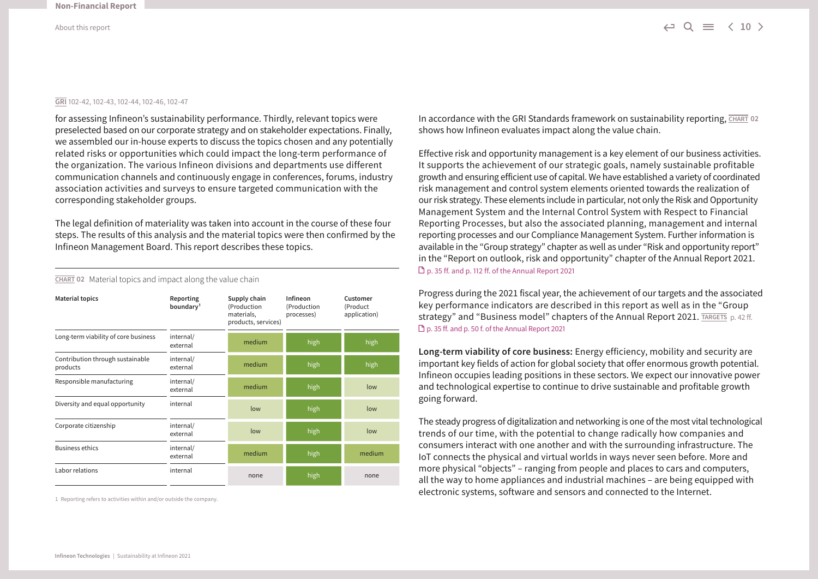#### **GRI** 102-42, 102-43, 102-44, 102-46, 102-47

for assessing Infineon's sustainability performance. Thirdly, relevant topics were preselected based on our corporate strategy and on stakeholder expectations. Finally, we assembled our in-house experts to discuss the topics chosen and any potentially related risks or opportunities which could impact the long-term performance of the organization. The various Infineon divisions and departments use different communication channels and continuously engage in conferences, forums, industry association activities and surveys to ensure targeted communication with the corresponding stakeholder groups.

The legal definition of materiality was taken into account in the course of these four steps. The results of this analysis and the material topics were then confirmed by the Infineon Management Board. This report describes these topics.

| <b>Material topics</b>                       | Reporting<br>boundary <sup>1</sup> | Supply chain<br>(Production<br>materials,<br>products, services) | Infineon<br>(Production<br>processes) | Customer<br>(Product<br>application) |
|----------------------------------------------|------------------------------------|------------------------------------------------------------------|---------------------------------------|--------------------------------------|
| Long-term viability of core business         | internal/<br>external              | medium                                                           | high                                  | high                                 |
| Contribution through sustainable<br>products | internal/<br>external              | medium                                                           | high                                  | high                                 |
| Responsible manufacturing                    | internal/<br>external              | medium                                                           | high                                  | low                                  |
| Diversity and equal opportunity              | internal                           | low                                                              | high                                  | low                                  |
| Corporate citizenship                        | internal/<br>external              | low                                                              | high                                  | low                                  |
| <b>Business ethics</b>                       | internal/<br>external              | medium                                                           | high                                  | medium                               |
| Labor relations                              | internal                           | none                                                             | high                                  | none                                 |

**CHART 02** Material topics and impact along the value chain

1 Reporting refers to activities within and/or outside the company.

In accordance with the GRI Standards framework on sustainability reporting,  $\overline{CHART}$  02 shows how Infineon evaluates impact along the value chain.

Effective risk and opportunity management is a key element of our business activities. It supports the achievement of our strategic goals, namely sustainable profitable growth and ensuring efficient use of capital. We have established a variety of coordinated risk management and control system elements oriented towards the realization of our risk strategy. These elements include in particular, not only the Risk and Opportunity Management System and the Internal Control System with Respect to Financial Reporting Processes, but also the associated planning, management and internal reporting processes and our Compliance Management System. Further information is available in the "Group strategy" chapter as well as under "Risk and opportunity report" in the "Report on outlook, risk and opportunity" chapter of the Annual Report 2021. [p. 35 ff. and p. 112 ff. of the Annual Report 2021](http://www.infineon.com/annualreport)

Progress during the 2021 fiscal year, the achievement of our targets and the associated key performance indicators are described in this report as well as in the "Group strategy" and "Business model" chapters of the Annual Report 2021[.](http://www.infineon.com/annualreport) TARGETS p. 42 ff. [p. 35 ff. and p. 50 f. of the Annual Report 2021](http://www.infineon.com/annualreport)

**Long-term viability of core business:** Energy efficiency, mobility and security are important key fields of action for global society that offer enormous growth potential. Infineon occupies leading positions in these sectors. We expect our innovative power and technological expertise to continue to drive sustainable and profitable growth going forward.

The steady progress of digitalization and networking is one of the most vital technological trends of our time, with the potential to change radically how companies and consumers interact with one another and with the surrounding infrastructure. The IoT connects the physical and virtual worlds in ways never seen before. More and more physical "objects" – ranging from people and places to cars and computers, all the way to home appliances and industrial machines – are being equipped with electronic systems, software and sensors and connected to the Internet.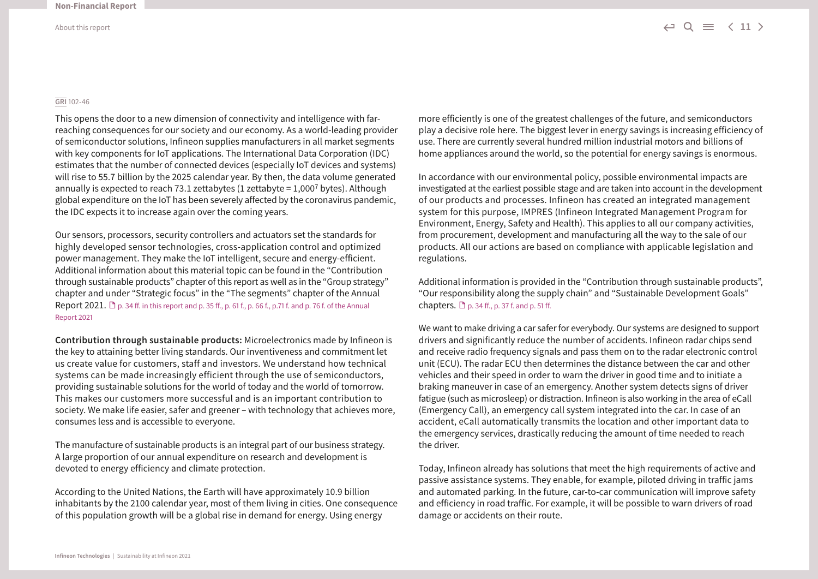#### **GRI** 102-46

This opens the door to a new dimension of connectivity and intelligence with farreaching consequences for our society and our economy. As a world-leading provider of semiconductor solutions, Infineon supplies manufacturers in all market segments with key components for IoT applications. The International Data Corporation (IDC) estimates that the number of connected devices (especially IoT devices and systems) will rise to 55.7 billion by the 2025 calendar year. By then, the data volume generated annually is expected to reach 73.1 zettabytes (1 zettabyte =  $1,000^7$  bytes). Although global expenditure on the IoT has been severely affected by the coronavirus pandemic, the IDC expects it to increase again over the coming years.

Our sensors, processors, security controllers and actuators set the standards for highly developed sensor technologies, cross-application control and optimized power management. They make the IoT intelligent, secure and energy-efficient. Additional information about this material topic can be found in the "Contribution through sustainable products" chapter of this report as well as in the "Group strategy" chapter and under "Strategic focus" in the "The segments" chapter of the Annual Report 2021.  $\Box$  p. 34 ff. in this report and p. 35 ff., p. 61 f., p. 66 f., p.71 f. and p. 76 f. of the Annual [Report 2021](http://www.infineon.com/annualreport) 

**Contribution through sustainable products:** Microelectronics made by Infineon is the key to attaining better living standards. Our inventiveness and commitment let us create value for customers, staff and investors. We understand how technical systems can be made increasingly efficient through the use of semiconductors, providing sustainable solutions for the world of today and the world of tomorrow. This makes our customers more successful and is an important contribution to society. We make life easier, safer and greener – with technology that achieves more, consumes less and is accessible to everyone.

The manufacture of sustainable products is an integral part of our business strategy. A large proportion of our annual expenditure on research and development is devoted to energy efficiency and climate protection.

According to the United Nations, the Earth will have approximately 10.9 billion inhabitants by the 2100 calendar year, most of them living in cities. One consequence of this population growth will be a global rise in demand for energy. Using energy

more efficiently is one of the greatest challenges of the future, and semiconductors play a decisive role here. The biggest lever in energy savings is increasing efficiency of use. There are currently several hundred million industrial motors and billions of home appliances around the world, so the potential for energy savings is enormous.

In accordance with our environmental policy, possible environmental impacts are investigated at the earliest possible stage and are taken into account in the development of our products and processes. Infineon has created an integrated management system for this purpose, IMPRES (Infineon Integrated Management Program for Environment, Energy, Safety and Health). This applies to all our company activities, from procurement, development and manufacturing all the way to the sale of our products. All our actions are based on compliance with applicable legislation and regulations.

Additional information is provided in the "Contribution through sustainable products", "Our responsibility along the supply chain" and "Sustainable Development Goals" chapters.  $\Box$  p. 34 ff., p. 37 f. and p. 51 ff.

We want to make driving a car safer for everybody. Our systems are designed to support drivers and significantly reduce the number of accidents. Infineon radar chips send and receive radio frequency signals and pass them on to the radar electronic control unit (ECU). The radar ECU then determines the distance between the car and other vehicles and their speed in order to warn the driver in good time and to initiate a braking maneuver in case of an emergency. Another system detects signs of driver fatigue (such as microsleep) or distraction. Infineon is also working in the area of eCall (Emergency Call), an emergency call system integrated into the car. In case of an accident, eCall automatically transmits the location and other important data to the emergency services, drastically reducing the amount of time needed to reach the driver.

Today, Infineon already has solutions that meet the high requirements of active and passive assistance systems. They enable, for example, piloted driving in traffic jams and automated parking. In the future, car-to-car communication will improve safety and efficiency in road traffic. For example, it will be possible to warn drivers of road damage or accidents on their route.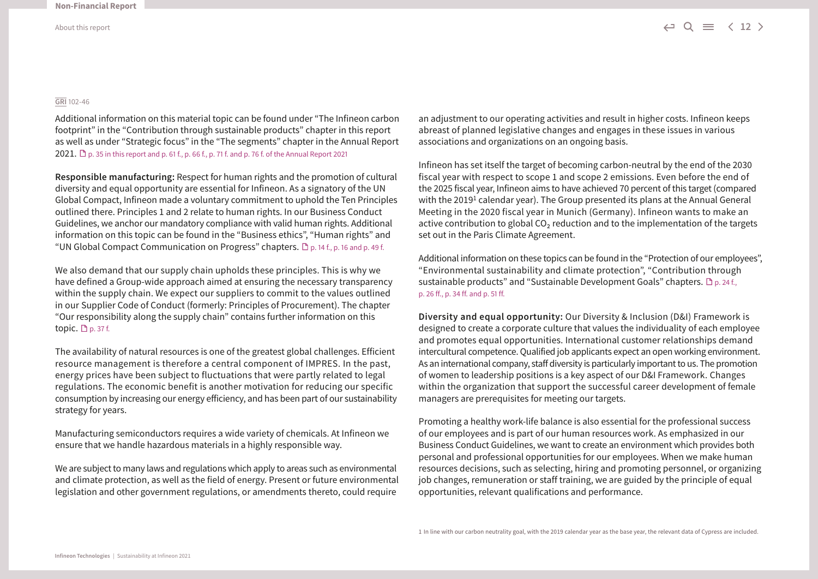#### **GRI** 102-46

Additional information on this material topic can be found under "The Infineon carbon footprint" in the "Contribution through sustainable products" chapter in this report as well as under "Strategic focus" in the "The segments" chapter in the Annual Report 2021.  $\Box$  p. 35 in this report [and p. 61 f., p. 66 f., p. 71 f. and p. 76 f. of the Annual Report 2021](http://www.infineon.com/annualreport)

**Responsible manufacturing:** Respect for human rights and the promotion of cultural diversity and equal opportunity are essential for Infineon. As a signatory of the UN Global Compact, Infineon made a voluntary commitment to uphold the Ten Principles outlined there. Principles 1 and 2 relate to human rights. In our Business Conduct Guidelines, we anchor our mandatory compliance with valid human rights. Additional information on this topic can be found in the "Business ethics", "Human rights" and "UN Global Compact Communication on Progress" chapters.  $\Box$  p. 14 f., p. 16 and p. 49 f.

We also demand that our supply chain upholds these principles. This is why we have defined a Group-wide approach aimed at ensuring the necessary transparency within the supply chain. We expect our suppliers to commit to the values outlined in our Supplier Code of Conduct (formerly: Principles of Procurement). The chapter "Our responsibility along the supply chain" contains further information on this topic.  $D_{p.}$  37 f.

The availability of natural resources is one of the greatest global challenges. Efficient resource management is therefore a central component of IMPRES. In the past, energy prices have been subject to fluctuations that were partly related to legal regulations. The economic benefit is another motivation for reducing our specific consumption by increasing our energy efficiency, and has been part of our sustainability strategy for years.

Manufacturing semiconductors requires a wide variety of chemicals. At Infineon we ensure that we handle hazardous materials in a highly responsible way.

We are subject to many laws and regulations which apply to areas such as environmental and climate protection, as well as the field of energy. Present or future environmental legislation and other government regulations, or amendments thereto, could require

an adjustment to our operating activities and result in higher costs. Infineon keeps abreast of planned legislative changes and engages in these issues in various associations and organizations on an ongoing basis.

Infineon has set itself the target of becoming carbon-neutral by the end of the 2030 fiscal year with respect to scope 1 and scope 2 emissions. Even before the end of the 2025 fiscal year, Infineon aims to have achieved 70 percent of this target (compared with the 2019<sup>1</sup> calendar year). The Group presented its plans at the Annual General Meeting in the 2020 fiscal year in Munich (Germany). Infineon wants to make an active contribution to global  $CO<sub>2</sub>$  reduction and to the implementation of the targets set out in the Paris Climate Agreement.

Additional information on these topics can be found in the "Protection of our employees", "Environmental sustainability and climate protection", "Contribution through sustainable products" and "Sustainable Development Goals" chapters.  $\Box$  p. 24 f., p. 26 ff., p. 34 ff. and p. 51 ff.

**Diversity and equal opportunity:** Our Diversity & Inclusion (D&I) Framework is designed to create a corporate culture that values the individuality of each employee and promotes equal opportunities. International customer relationships demand intercultural competence. Qualified job applicants expect an open working environment. As an international company, staff diversity is particularly important to us. The promotion of women to leadership positions is a key aspect of our D&I Framework. Changes within the organization that support the successful career development of female managers are prerequisites for meeting our targets.

Promoting a healthy work-life balance is also essential for the professional success of our employees and is part of our human resources work. As emphasized in our Business Conduct Guidelines, we want to create an environment which provides both personal and professional opportunities for our employees. When we make human resources decisions, such as selecting, hiring and promoting personnel, or organizing job changes, remuneration or staff training, we are guided by the principle of equal opportunities, relevant qualifications and performance.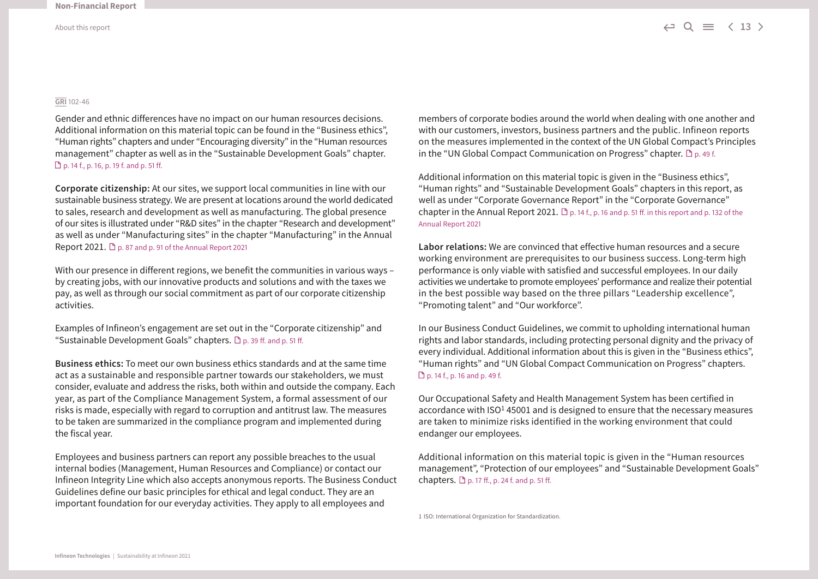#### **GRI** 102-46

Gender and ethnic differences have no impact on our human resources decisions. Additional information on this material topic can be found in the "Business ethics", "Human rights" chapters and under "Encouraging diversity" in the "Human resources management" chapter as well as in the "Sustainable Development Goals" chapter. p. 14 f., p. 16, p. 19 f. and p. 51 ff.

**Corporate citizenship:** At our sites, we support local communities in line with our sustainable business strategy. We are present at locations around the world dedicated to sales, research and development as well as manufacturing. The global presence of our sites is illustrated under "R&D sites" in the chapter "Research and development" as well as under "Manufacturing sites" in the chapter "Manufacturing" in the Annual Report 2021.  $\Box$  p. 87 and p. 91 of the Annual Report 2021

With our presence in different regions, we benefit the communities in various ways – by creating jobs, with our innovative products and solutions and with the taxes we pay, as well as through our social commitment as part of our corporate citizenship activities.

Examples of Infineon's engagement are set out in the "Corporate citizenship" and "Sustainable Development Goals" chapters.  $\Box$  p. 39 ff. and p. 51 ff.

**Business ethics:** To meet our own business ethics standards and at the same time act as a sustainable and responsible partner towards our stakeholders, we must consider, evaluate and address the risks, both within and outside the company. Each year, as part of the Compliance Management System, a formal assessment of our risks is made, especially with regard to corruption and antitrust law. The measures to be taken are summarized in the compliance program and implemented during the fiscal year.

Employees and business partners can report any possible breaches to the usual internal bodies (Management, Human Resources and Compliance) or contact our Infineon Integrity Line which also accepts anonymous reports. The Business Conduct Guidelines define our basic principles for ethical and legal conduct. They are an important foundation for our everyday activities. They apply to all employees and

members of corporate bodies around the world when dealing with one another and with our customers, investors, business partners and the public. Infineon reports on the measures implemented in the context of the UN Global Compact's Principles in the "UN Global Compact Communication on Progress" chapter.  $\mathbb{D}_{p.49f.}$ 

Additional information on this material topic is given in the "Business ethics", "Human rights" and "Sustainable Development Goals" chapters in this report, as well as under "Corporate Governance Report" in the "Corporate Governance" chapter in the Annual Report 2021.  $\mathbb{D}$  p. 14 f., p. 16 and p. 51 ff. in this report and p. 132 of the [Annual Report 2021](http://www.infineon.com/annualreport)

**Labor relations:** We are convinced that effective human resources and a secure working environment are prerequisites to our business success. Long-term high performance is only viable with satisfied and successful employees. In our daily activities we undertake to promote employees' performance and realize their potential in the best possible way based on the three pillars "Leadership excellence", "Promoting talent" and "Our workforce".

In our Business Conduct Guidelines, we commit to upholding international human rights and labor standards, including protecting personal dignity and the privacy of every individual. Additional information about this is given in the "Business ethics", "Human rights" and "UN Global Compact Communication on Progress" chapters. p. 14 f., p. 16 and p. 49 f.

Our Occupational Safety and Health Management System has been certified in accordance with ISO<sup>1</sup> 45001 and is designed to ensure that the necessary measures are taken to minimize risks identified in the working environment that could endanger our employees.

Additional information on this material topic is given in the "Human resources management", "Protection of our employees" and "Sustainable Development Goals" chapters.  $\Box$  p. 17 ff., p. 24 f. and p. 51 ff.

1 ISO: International Organization for Standardization.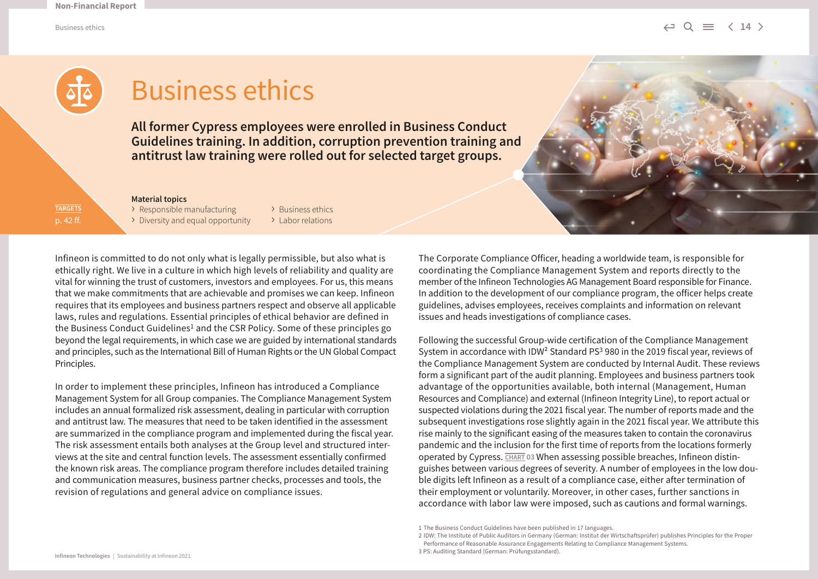Business ethics  $\hookleftarrow \mathsf{Q} \ \equiv \ \; \langle \; \; 14 \;$ 



## Business ethics

**All former Cypress employees were enrolled in Business Conduct Guidelines training. In addition, corruption prevention training and antitrust law training were rolled out for selected target groups.** 

#### **Material topics**

**TARGETS** p. 42 ff. > Responsible manufacturing > Business ethics<br>> Diversity and equal opportunity > Labor relations  $\rightarrow$  Diversity and equal opportunity

Infineon is committed to do not only what is legally permissible, but also what is ethically right. We live in a culture in which high levels of reliability and quality are vital for winning the trust of customers, investors and employees. For us, this means that we make commitments that are achievable and promises we can keep. Infineon requires that its employees and business partners respect and observe all applicable laws, rules and regulations. Essential principles of ethical behavior are defined in the Business Conduct Guidelines<sup>1</sup> and the CSR Policy. Some of these principles go beyond the legal requirements, in which case we are guided by international standards and principles, such as the International Bill of Human Rights or the UN Global Compact Principles.

In order to implement these principles, Infineon has introduced a Compliance Management System for all Group companies. The Compliance Management System includes an annual formalized risk assessment, dealing in particular with corruption and antitrust law. The measures that need to be taken identified in the assessment are summarized in the compliance program and implemented during the fiscal year. The risk assessment entails both analyses at the Group level and structured interviews at the site and central function levels. The assessment essentially confirmed the known risk areas. The compliance program therefore includes detailed training and communication measures, business partner checks, processes and tools, the revision of regulations and general advice on compliance issues.

The Corporate Compliance Officer, heading a worldwide team, is responsible for coordinating the Compliance Management System and reports directly to the member of the Infineon Technologies AG Management Board responsible for Finance. In addition to the development of our compliance program, the officer helps create guidelines, advises employees, receives complaints and information on relevant issues and heads investigations of compliance cases.

Following the successful Group-wide certification of the Compliance Management System in accordance with IDW<sup>2</sup> Standard PS<sup>3</sup> 980 in the 2019 fiscal year, reviews of the Compliance Management System are conducted by Internal Audit. These reviews form a significant part of the audit planning. Employees and business partners took advantage of the opportunities available, both internal (Management, Human Resources and Compliance) and external (Infineon Integrity Line), to report actual or suspected violations during the 2021 fiscal year. The number of reports made and the subsequent investigations rose slightly again in the 2021 fiscal year. We attribute this rise mainly to the significant easing of the measures taken to contain the coronavirus pandemic and the inclusion for the first time of reports from the locations formerly operated by Cypress. **CHART 03** When assessing possible breaches, Infineon distinguishes between various degrees of severity. A number of employees in the low double digits left Infineon as a result of a compliance case, either after termination of their employment or voluntarily. Moreover, in other cases, further sanctions in accordance with labor law were imposed, such as cautions and formal warnings.

<sup>1</sup> The Business Conduct Guidelines have been published in 17 languages.

<sup>2</sup> IDW: The Institute of Public Auditors in Germany (German: Institut der Wirtschaftsprüfer) publishes Principles for the Proper

Performance of Reasonable Assurance Engagements Relating to Compliance Management Systems.

<sup>3</sup> PS: Auditing Standard (German: Prüfungsstandard).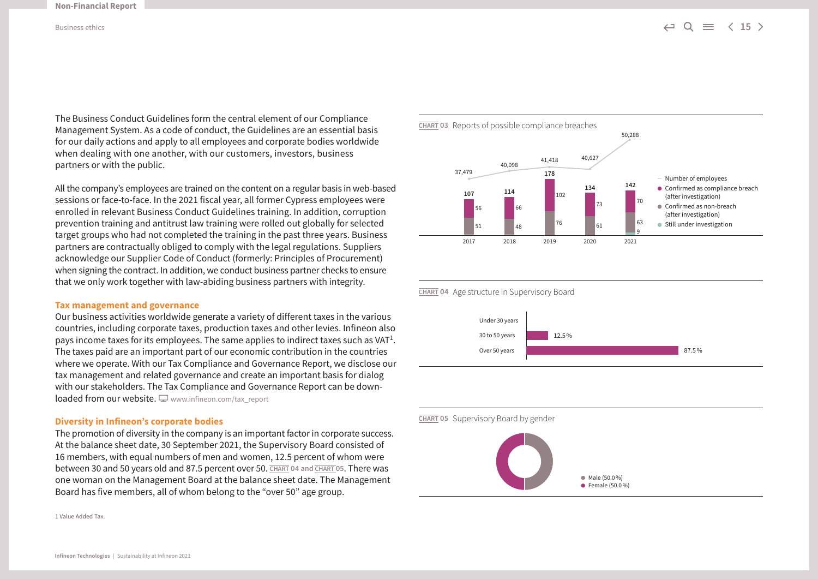The Business Conduct Guidelines form the central element of our Compliance Management System. As a code of conduct, the Guidelines are an essential basis for our daily actions and apply to all employees and corporate bodies worldwide when dealing with one another, with our customers, investors, business partners or with the public.

All the company's employees are trained on the content on a regular basis in web-based sessions or face-to-face. In the 2021 fiscal year, all former Cypress employees were enrolled in relevant Business Conduct Guidelines training. In addition, corruption prevention training and antitrust law training were rolled out globally for selected target groups who had not completed the training in the past three years. Business partners are contractually obliged to comply with the legal regulations. Suppliers acknowledge our Supplier Code of Conduct (formerly: Principles of Procurement) when signing the contract. In addition, we conduct business partner checks to ensure that we only work together with law-abiding business partners with integrity.

#### **Tax management and governance**

Our business activities worldwide generate a variety of different taxes in the various countries, including corporate taxes, production taxes and other levies. Infineon also pays income taxes for its employees. The same applies to indirect taxes such as  $VAT<sup>1</sup>$ . The taxes paid are an important part of our economic contribution in the countries where we operate. With our Tax Compliance and Governance Report, we disclose our tax management and related governance and create an important basis for dialog with our stakeholders. The Tax Compliance and Governance Report can be down $load$  from our website.  $\Box$  [www.infineon.com/tax\\_report](http://www.infineon.com/tax_report)

#### **Diversity in Infineon's corporate bodies**

The promotion of diversity in the company is an important factor in corporate success. At the balance sheet date, 30 September 2021, the Supervisory Board consisted of 16 members, with equal numbers of men and women, 12.5 percent of whom were between 30 and 50 years old and 87.5 percent over 50. **CHART 04 and CHART 05**. There was one woman on the Management Board at the balance sheet date. The Management Board has five members, all of whom belong to the "over 50" age group.

1 Value Added Tax.



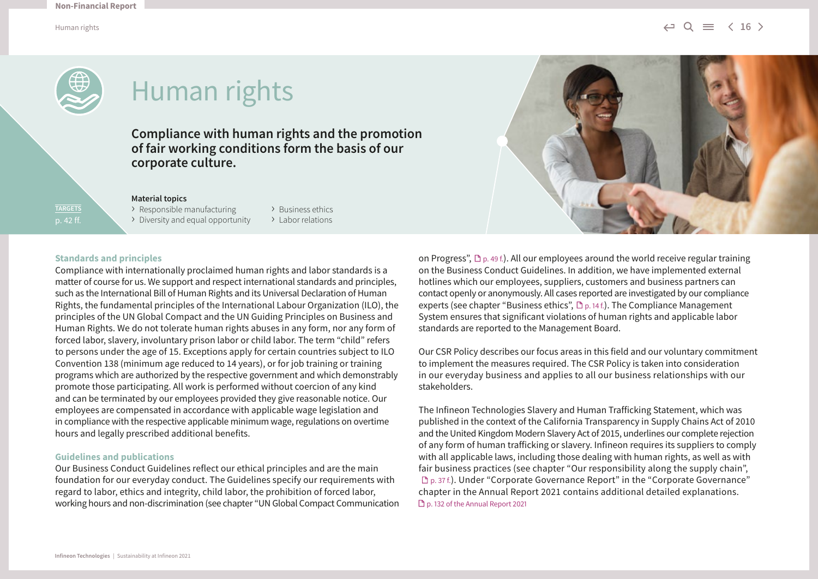Human rights  $\iff \mathsf{Q} \equiv \iff \mathsf{16}$ 



**TARGETS** p. 42 ff.

# Human rights

**Compliance with human rights and the promotion of fair working conditions form the basis of our corporate culture.** 

#### **Material topics**

> Responsible manufacturing > Business ethics<br>> Diversity and equal opportunity > Labor relations  $\triangleright$  Diversity and equal opportunity

#### **Standards and principles**

Compliance with internationally proclaimed human rights and labor standards is a matter of course for us. We support and respect international standards and principles, such as the International Bill of Human Rights and its Universal Declaration of Human Rights, the fundamental principles of the International Labour Organization (ILO), the principles of the UN Global Compact and the UN Guiding Principles on Business and Human Rights. We do not tolerate human rights abuses in any form, nor any form of forced labor, slavery, involuntary prison labor or child labor. The term "child" refers to persons under the age of 15. Exceptions apply for certain countries subject to ILO Convention 138 (minimum age reduced to 14 years), or for job training or training programs which are authorized by the respective government and which demonstrably promote those participating. All work is performed without coercion of any kind and can be terminated by our employees provided they give reasonable notice. Our employees are compensated in accordance with applicable wage legislation and in compliance with the respective applicable minimum wage, regulations on overtime hours and legally prescribed additional benefits.

#### **Guidelines and publications**

Our Business Conduct Guidelines reflect our ethical principles and are the main foundation for our everyday conduct. The Guidelines specify our requirements with regard to labor, ethics and integrity, child labor, the prohibition of forced labor, working hours and non-discrimination (see chapter "UN Global Compact Communication



on Progress",  $\mathbb{D}_{p}$ , 49 f.). All our employees around the world receive regular training on the Business Conduct Guidelines. In addition, we have implemented external hotlines which our employees, suppliers, customers and business partners can contact openly or anonymously. All cases reported are investigated by our compliance experts (see chapter "Business ethics",  $\mathbb{D}_{p.14\text{ f.}}$ ). The Compliance Management System ensures that significant violations of human rights and applicable labor standards are reported to the Management Board.

Our CSR Policy describes our focus areas in this field and our voluntary commitment to implement the measures required. The CSR Policy is taken into consideration in our everyday business and applies to all our business relationships with our stakeholders.

The Infineon Technologies Slavery and Human Trafficking Statement, which was published in the context of the California Transparency in Supply Chains Act of 2010 and the United Kingdom Modern Slavery Act of 2015, underlines our complete rejection of any form of human trafficking or slavery. Infineon requires its suppliers to comply with all applicable laws, including those dealing with human rights, as well as with fair business practices (see chapter "Our responsibility along the supply chain", p. 37 f.). Under "Corporate Governance Report" in the "Corporate Governance" chapter in the Annual Report 2021 contains additional detailed explanations. [p. 132 of the Annual Report 2021](http://www.infineon.com/annualreport)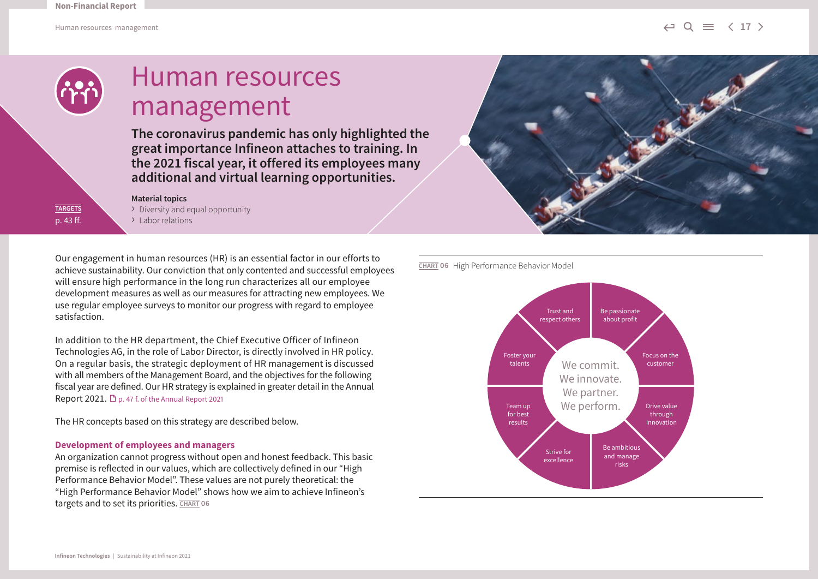Human resources management  $\iff \; \equiv \; \; \langle \; 17 \; \rangle$ 



**TARGETS** p. 43 ff.

### Human resources management

**The coronavirus pandemic has only highlighted the great importance Infineon attaches to training. In the 2021 fiscal year, it offered its employees many additional and virtual learning opportunities.**

#### **Material topics**

› Diversity and equal opportunity › Labor relations

Our engagement in human resources (HR) is an essential factor in our efforts to achieve sustainability. Our conviction that only contented and successful employees will ensure high performance in the long run characterizes all our employee development measures as well as our measures for attracting new employees. We use regular employee surveys to monitor our progress with regard to employee satisfaction.

In addition to the HR department, the Chief Executive Officer of Infineon Technologies AG, in the role of Labor Director, is directly involved in HR policy. On a regular basis, the strategic deployment of HR management is discussed with all members of the Management Board, and the objectives for the following fiscal year are defined. Our HR strategy is explained in greater detail in the Annual Report 2021. D [p. 47 f. of the Annual Report 2021](http://www.infineon.com/annualreport)

The HR concepts based on this strategy are described below.

#### **Development of employees and managers**

An organization cannot progress without open and honest feedback. This basic premise is reflected in our values, which are collectively defined in our "High Performance Behavior Model". These values are not purely theoretical: the "High Performance Behavior Model" shows how we aim to achieve Infineon's targets and to set its priorities. **CHART 06**





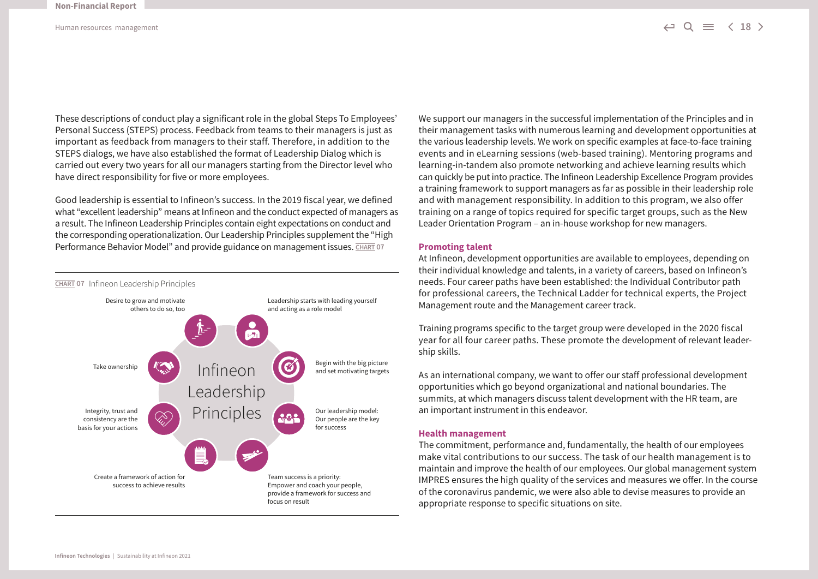These descriptions of conduct play a significant role in the global Steps To Employees' Personal Success (STEPS) process. Feedback from teams to their managers is just as important as feedback from managers to their staff. Therefore, in addition to the STEPS dialogs, we have also established the format of Leadership Dialog which is carried out every two years for all our managers starting from the Director level who have direct responsibility for five or more employees.

Good leadership is essential to Infineon's success. In the 2019 fiscal year, we defined what "excellent leadership" means at Infineon and the conduct expected of managers as a result. The Infineon Leadership Principles contain eight expectations on conduct and the corresponding operationalization. Our Leadership Principles supplement the "High Performance Behavior Model" and provide guidance on management issues. **CHART 07** 



We support our managers in the successful implementation of the Principles and in their management tasks with numerous learning and development opportunities at the various leadership levels. We work on specific examples at face-to-face training events and in eLearning sessions (web-based training). Mentoring programs and learning-in-tandem also promote networking and achieve learning results which can quickly be put into practice. The Infineon Leadership Excellence Program provides a training framework to support managers as far as possible in their leadership role and with management responsibility. In addition to this program, we also offer training on a range of topics required for specific target groups, such as the New Leader Orientation Program – an in-house workshop for new managers.

#### **Promoting talent**

At Infineon, development opportunities are available to employees, depending on their individual knowledge and talents, in a variety of careers, based on Infineon's needs. Four career paths have been established: the Individual Contributor path for professional careers, the Technical Ladder for technical experts, the Project Management route and the Management career track.

Training programs specific to the target group were developed in the 2020 fiscal year for all four career paths. These promote the development of relevant leadership skills.

As an international company, we want to offer our staff professional development opportunities which go beyond organizational and national boundaries. The summits, at which managers discuss talent development with the HR team, are an important instrument in this endeavor.

#### **Health management**

The commitment, performance and, fundamentally, the health of our employees make vital contributions to our success. The task of our health management is to maintain and improve the health of our employees. Our global management system IMPRES ensures the high quality of the services and measures we offer. In the course of the coronavirus pandemic, we were also able to devise measures to provide an appropriate response to specific situations on site.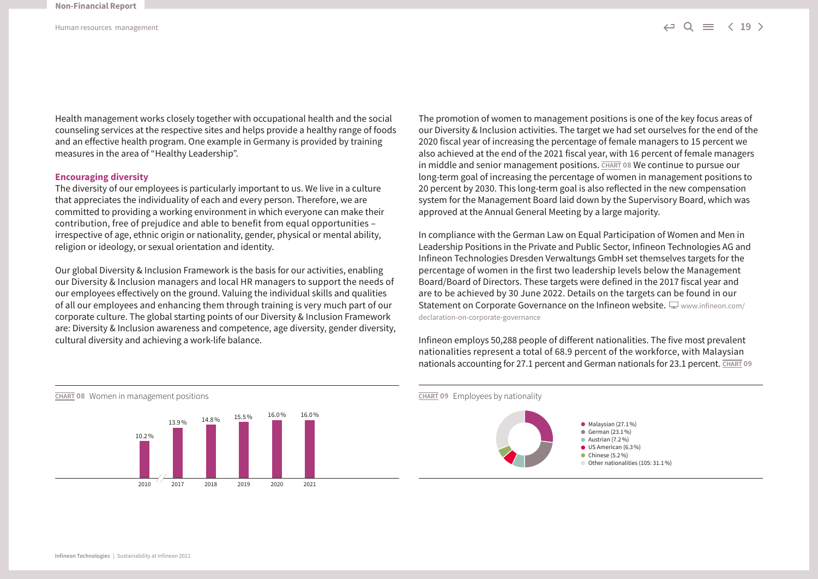Health management works closely together with occupational health and the social counseling services at the respective sites and helps provide a healthy range of foods and an effective health program. One example in Germany is provided by training measures in the area of "Healthy Leadership".

#### **Encouraging diversity**

The diversity of our employees is particularly important to us. We live in a culture that appreciates the individuality of each and every person. Therefore, we are committed to providing a working environment in which everyone can make their contribution, free of prejudice and able to benefit from equal opportunities – irrespective of age, ethnic origin or nationality, gender, physical or mental ability, religion or ideology, or sexual orientation and identity.

Our global Diversity & Inclusion Framework is the basis for our activities, enabling our Diversity & Inclusion managers and local HR managers to support the needs of our employees effectively on the ground. Valuing the individual skills and qualities of all our employees and enhancing them through training is very much part of our corporate culture. The global starting points of our Diversity & Inclusion Framework are: Diversity & Inclusion awareness and competence, age diversity, gender diversity, cultural diversity and achieving a work-life balance.

The promotion of women to management positions is one of the key focus areas of our Diversity & Inclusion activities. The target we had set ourselves for the end of the 2020 fiscal year of increasing the percentage of female managers to 15 percent we also achieved at the end of the 2021 fiscal year, with 16 percent of female managers in middle and senior management positions. **CHART 08** We continue to pursue our long-term goal of increasing the percentage of women in management positions to 20 percent by 2030. This long-term goal is also reflected in the new compensation system for the Management Board laid down by the Supervisory Board, which was approved at the Annual General Meeting by a large majority.

In compliance with the German Law on Equal Participation of Women and Men in Leadership Positions in the Private and Public Sector, Infineon Technologies AG and Infineon Technologies Dresden Verwaltungs GmbH set themselves targets for the percentage of women in the first two leadership levels below the Management Board/Board of Directors. These targets were defined in the 2017 fiscal year and are to be achieved by 30 June 2022. Details on the targets can be found in our Statement on Corporate Governance on the Infineon website.  $\Box$  [www.infineon.com/](http://www.infineon.com/declaration-on-corporate-governance) [declaration-on-corporate-governance](http://www.infineon.com/declaration-on-corporate-governance) 

Infineon employs 50,288 people of different nationalities. The five most prevalent nationalities represent a total of 68.9 percent of the workforce, with Malaysian nationals accounting for 27.1 percent and German nationals for 23.1 percent. **CHART 09** 



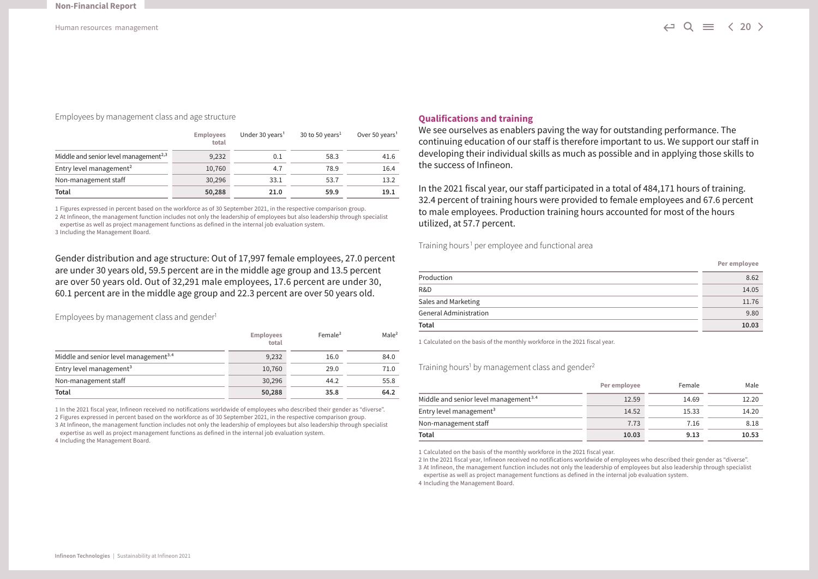#### Employees by management class and age structure

|                                                   | <b>Employees</b><br>total | Under 30 years <sup>1</sup> | 30 to 50 years <sup>1</sup> | Over 50 years <sup>1</sup> |
|---------------------------------------------------|---------------------------|-----------------------------|-----------------------------|----------------------------|
| Middle and senior level management <sup>2,3</sup> | 9,232                     | 0.1                         | 58.3                        | 41.6                       |
| Entry level management <sup>2</sup>               | 10,760                    | 4.7                         | 78.9                        | 16.4                       |
| Non-management staff                              | 30,296                    | 33.1                        | 53.7                        | 13.2                       |
| Total                                             | 50,288                    | 21.0                        | 59.9                        | 19.1                       |

1 Figures expressed in percent based on the workforce as of 30 September 2021, in the respective comparison group. 2 At Infineon, the management function includes not only the leadership of employees but also leadership through specialist

expertise as well as project management functions as defined in the internal job evaluation system.

3 Including the Management Board.

Gender distribution and age structure: Out of 17,997 female employees, 27.0 percent are under 30 years old, 59.5 percent are in the middle age group and 13.5 percent are over 50 years old. Out of 32,291 male employees, 17.6 percent are under 30, 60.1 percent are in the middle age group and 22.3 percent are over 50 years old.

Employees by management class and gender<sup>1</sup>

|                                                   | <b>Employees</b><br>total | Female <sup>2</sup> | Male <sup>2</sup> |
|---------------------------------------------------|---------------------------|---------------------|-------------------|
| Middle and senior level management <sup>3.4</sup> | 9,232                     | 16.0                | 84.0              |
| Entry level management <sup>3</sup>               | 10,760                    | 29.0                | 71.0              |
| Non-management staff                              | 30,296                    | 44.2                | 55.8              |
| Total                                             | 50,288                    | 35.8                | 64.2              |

1 In the 2021 fiscal year, Infineon received no notifications worldwide of employees who described their gender as "diverse". 2 Figures expressed in percent based on the workforce as of 30 September 2021, in the respective comparison group.

3 At Infineon, the management function includes not only the leadership of employees but also leadership through specialist expertise as well as project management functions as defined in the internal job evaluation system.

4 Including the Management Board.

#### **Qualifications and training**

We see ourselves as enablers paving the way for outstanding performance. The continuing education of our staff is therefore important to us. We support our staff in developing their individual skills as much as possible and in applying those skills to the success of Infineon.

In the 2021 fiscal year, our staff participated in a total of 484,171 hours of training. 32.4 percent of training hours were provided to female employees and 67.6 percent to male employees. Production training hours accounted for most of the hours utilized, at 57.7 percent.

Training hours<sup>1</sup> per employee and functional area

| Total                  | 10.03        |
|------------------------|--------------|
| General Administration | 9.80         |
| Sales and Marketing    | 11.76        |
| R&D                    | 14.05        |
| Production             | 8.62         |
|                        | Per employee |

1 Calculated on the basis of the monthly workforce in the 2021 fiscal year.

Training hours<sup>1</sup> by management class and gender<sup>2</sup>

|                                                   | Per employee | Female | Male  |
|---------------------------------------------------|--------------|--------|-------|
| Middle and senior level management <sup>3.4</sup> | 12.59        | 14.69  | 12.20 |
| Entry level management <sup>3</sup>               | 14.52        | 15.33  | 14.20 |
| Non-management staff                              | 7.73         | 7.16   | 8.18  |
| Total                                             | 10.03        | 9.13   | 10.53 |

1 Calculated on the basis of the monthly workforce in the 2021 fiscal year.

2 In the 2021 fiscal year, Infineon received no notifications worldwide of employees who described their gender as "diverse". 3 At Infineon, the management function includes not only the leadership of employees but also leadership through specialist

expertise as well as project management functions as defined in the internal job evaluation system.

4 Including the Management Board.

÷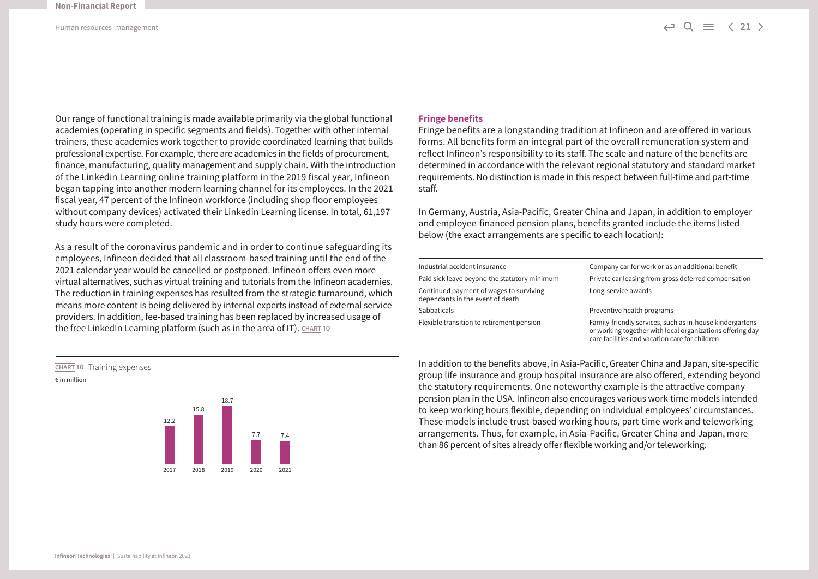Our range of functional training is made available primarily via the global functional academies (operating in specific segments and fields). Together with other internal trainers, these academies work together to provide coordinated learning that builds professional expertise. For example, there are academies in the fields of procurement, finance, manufacturing, quality management and supply chain. With the introduction of the Linkedin Learning online training platform in the 2019 fiscal year, Infineon began tapping into another modern learning channel for its employees. In the 2021 fiscal year, 47 percent of the Infineon workforce (including shop floor employees without company devices) activated their Linkedin Learning license. In total, 61,197 study hours were completed.

As a result of the coronavirus pandemic and in order to continue safeguarding its employees, Infineon decided that all classroom-based training until the end of the 2021 calendar year would be cancelled or postponed. Infineon offers even more virtual alternatives, such as virtual training and tutorials from the Infineon academies. The reduction in training expenses has resulted from the strategic turnaround, which means more content is being delivered by internal experts instead of external service providers. In addition, fee-based training has been replaced by increased usage of the free LinkedIn Learning platform (such as in the area of IT). **CHART 10** 



#### **Fringe benefits**

Fringe benefits are a longstanding tradition at Infineon and are offered in various forms. All benefits form an integral part of the overall remuneration system and reflect Infineon's responsibility to its staff. The scale and nature of the benefits are determined in accordance with the relevant regional statutory and standard market requirements. No distinction is made in this respect between full-time and part-time staff.

In Germany, Austria, Asia-Pacific, Greater China and Japan, in addition to employer and employee-financed pension plans, benefits granted include the items listed below (the exact arrangements are specific to each location):

| Industrial accident insurance                                               | Company car for work or as an additional benefit                                                                                                                        |  |  |  |  |
|-----------------------------------------------------------------------------|-------------------------------------------------------------------------------------------------------------------------------------------------------------------------|--|--|--|--|
| Paid sick leave beyond the statutory minimum                                | Private car leasing from gross deferred compensation<br>Long-service awards                                                                                             |  |  |  |  |
| Continued payment of wages to surviving<br>dependants in the event of death |                                                                                                                                                                         |  |  |  |  |
| <b>Sabbaticals</b>                                                          | Preventive health programs                                                                                                                                              |  |  |  |  |
| Flexible transition to retirement pension                                   | Family-friendly services, such as in-house kindergartens<br>or working together with local organizations offering day<br>care facilities and vacation care for children |  |  |  |  |

In addition to the benefits above, in Asia-Pacific, Greater China and Japan, site-specific group life insurance and group hospital insurance are also offered, extending beyond the statutory requirements. One noteworthy example is the attractive company pension plan in the USA. Infineon also encourages various work-time models intended to keep working hours flexible, depending on individual employees' circumstances. These models include trust-based working hours, part-time work and teleworking arrangements. Thus, for example, in Asia-Pacific, Greater China and Japan, more than 86 percent of sites already offer flexible working and/or teleworking.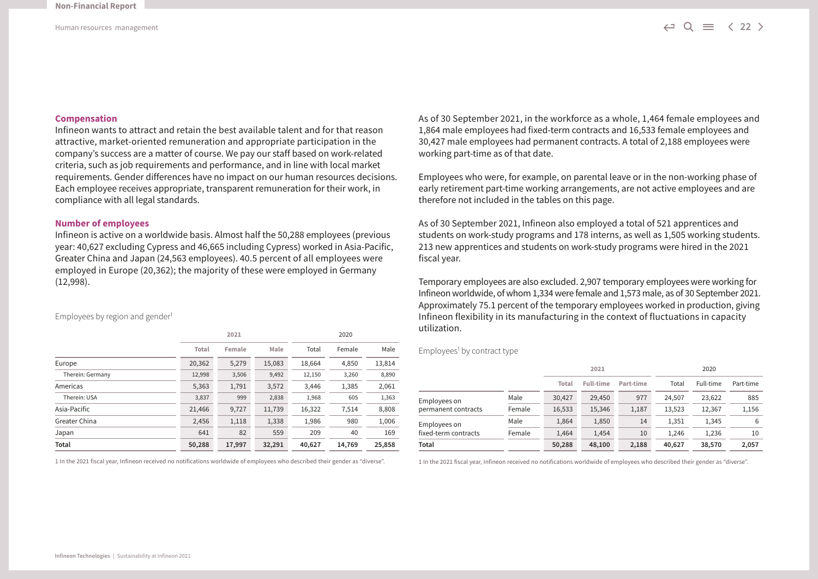#### **Compensation**

Infineon wants to attract and retain the best available talent and for that reason attractive, market-oriented remuneration and appropriate participation in the company's success are a matter of course. We pay our staff based on work-related criteria, such as job requirements and performance, and in line with local market requirements. Gender differences have no impact on our human resources decisions. Each employee receives appropriate, transparent remuneration for their work, in compliance with all legal standards.

#### **Number of employees**

Infineon is active on a worldwide basis. Almost half the 50,288 employees (previous year: 40,627 excluding Cypress and 46,665 including Cypress) worked in Asia-Pacific, Greater China and Japan (24,563 employees). 40.5 percent of all employees were employed in Europe (20,362); the majority of these were employed in Germany (12,998).

Employees by region and gender<sup>1</sup>

|                  |                 | 2021   |        |        | 2020   |        |
|------------------|-----------------|--------|--------|--------|--------|--------|
|                  | Total<br>Female |        | Male   | Total  | Female | Male   |
| Europe           | 20,362          | 5,279  | 15,083 | 18,664 | 4.850  | 13,814 |
| Therein: Germany | 12,998          | 3,506  | 9,492  | 12,150 | 3,260  | 8,890  |
| Americas         | 5,363           | 1,791  | 3,572  | 3,446  | 1,385  | 2,061  |
| Therein: USA     | 3,837           | 999    | 2,838  | 1,968  | 605    | 1,363  |
| Asia-Pacific     | 21,466          | 9,727  | 11,739 | 16,322 | 7,514  | 8,808  |
| Greater China    | 2,456           | 1,118  | 1,338  | 1,986  | 980    | 1,006  |
| Japan            | 641             | 82     | 559    | 209    | 40     | 169    |
| Total            | 50,288          | 17.997 | 32,291 | 40,627 | 14,769 | 25,858 |

1 In the 2021 fiscal year, Infineon received no notifications worldwide of employees who described their gender as "diverse".

As of 30 September 2021, in the workforce as a whole, 1,464 female employees and 1,864 male employees had fixed-term contracts and 16,533 female employees and 30,427 male employees had permanent contracts. A total of 2,188 employees were working part-time as of that date.

Employees who were, for example, on parental leave or in the non-working phase of early retirement part-time working arrangements, are not active employees and are therefore not included in the tables on this page.

As of 30 September 2021, Infineon also employed a total of 521 apprentices and students on work-study programs and 178 interns, as well as 1,505 working students. 213 new apprentices and students on work-study programs were hired in the 2021 fiscal year.

Temporary employees are also excluded. 2,907 temporary employees were working for Infineon worldwide, of whom 1,334 were female and 1,573 male, as of 30 September 2021. Approximately 75.1 percent of the temporary employees worked in production, giving Infineon flexibility in its manufacturing in the context of fluctuations in capacity utilization.

Employees<sup>1</sup> by contract type

|                      |        |              | 2021             |           |        | 2020      |           |
|----------------------|--------|--------------|------------------|-----------|--------|-----------|-----------|
|                      |        | <b>Total</b> | <b>Full-time</b> | Part-time | Total  | Full-time | Part-time |
| Employees on         | Male   | 30.427       | 29,450           | 977       | 24.507 | 23,622    | 885       |
| permanent contracts  | Female | 16,533       | 15,346           | 1,187     | 13,523 | 12,367    | 1,156     |
| Employees on         | Male   | 1,864        | 1,850            | 14        | 1,351  | 1,345     | 6         |
| fixed-term contracts | Female | 1,464        | 1,454            | 10        | 1.246  | 1,236     | 10        |
| Total                |        | 50,288       | 48,100           | 2,188     | 40,627 | 38,570    | 2,057     |

1 In the 2021 fiscal year, Infineon received no notifications worldwide of employees who described their gender as "diverse".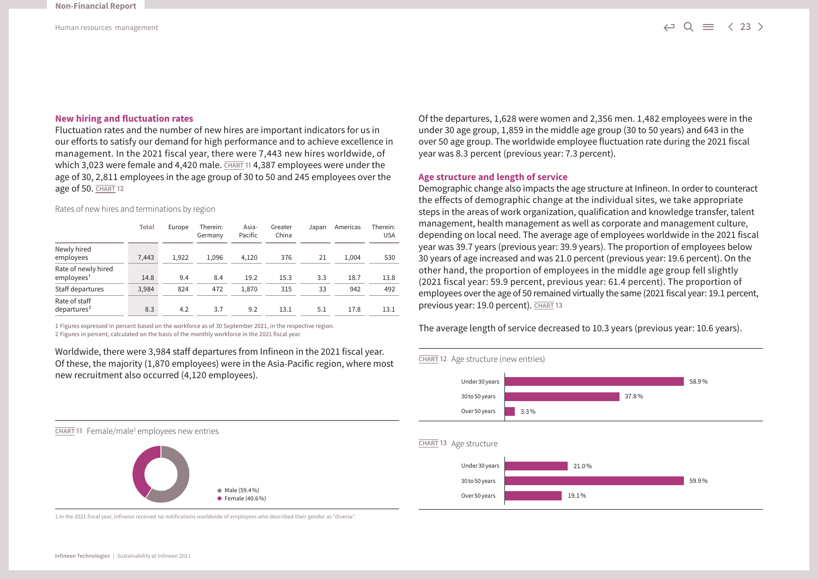#### **New hiring and fluctuation rates**

Fluctuation rates and the number of new hires are important indicators for us in our efforts to satisfy our demand for high performance and to achieve excellence in management. In the 2021 fiscal year, there were 7,443 new hires worldwide, of which 3,023 were female and 4,420 male. **CHART 11 4,387 employees were under the** age of 30, 2,811 employees in the age group of 30 to 50 and 245 employees over the age of 50. **CHART 12**

Rates of new hires and terminations by region

|                                               | Total | Europe | Therein:<br>Germany | Asia-<br>Pacific | Greater<br>China | Japan | Americas | Therein:<br><b>USA</b> |
|-----------------------------------------------|-------|--------|---------------------|------------------|------------------|-------|----------|------------------------|
| Newly hired<br>employees                      | 7,443 | 1,922  | 1.096               | 4,120            | 376              | 21    | 1.004    | 530                    |
| Rate of newly hired<br>employees <sup>1</sup> | 14.8  | 9.4    | 8.4                 | 19.2             | 15.3             | 3.3   | 18.7     | 13.8                   |
| Staff departures                              | 3,984 | 824    | 472                 | 1,870            | 315              | 33    | 942      | 492                    |
| Rate of staff<br>departures <sup>2</sup>      | 8.3   | 4.2    | 3.7                 | 9.2              | 13.1             | 5.1   | 17.8     | 13.1                   |

1 Figures expressed in percent based on the workforce as of 30 September 2021, in the respective region.

2 Figures in percent, calculated on the basis of the monthly workforce in the 2021 fiscal year.

Worldwide, there were 3,984 staff departures from Infineon in the 2021 fiscal year. Of these, the majority (1,870 employees) were in the Asia-Pacific region, where most new recruitment also occurred (4,120 employees).

Of the departures, 1,628 were women and 2,356 men. 1,482 employees were in the under 30 age group, 1,859 in the middle age group (30 to 50 years) and 643 in the over 50 age group. The worldwide employee fluctuation rate during the 2021 fiscal year was 8.3 percent (previous year: 7.3 percent).

#### **Age structure and length of service**

Demographic change also impacts the age structure at Infineon. In order to counteract the effects of demographic change at the individual sites, we take appropriate steps in the areas of work organization, qualification and knowledge transfer, talent management, health management as well as corporate and management culture, depending on local need. The average age of employees worldwide in the 2021 fiscal year was 39.7 years (previous year: 39.9 years). The proportion of employees below 30 years of age increased and was 21.0 percent (previous year: 19.6 percent). On the other hand, the proportion of employees in the middle age group fell slightly (2021 fiscal year: 59.9 percent, previous year: 61.4 percent). The proportion of employees over the age of 50 remained virtually the same (2021 fiscal year: 19.1 percent, previous year: 19.0 percent). **CHART 13**

The average length of service decreased to 10.3 years (previous year: 10.6 years).



**CHART 11** Female/male1 employees new entries



1 In the 2021 fiscal year, Infineon received no notifications worldwide of employees who described their gender as "diverse".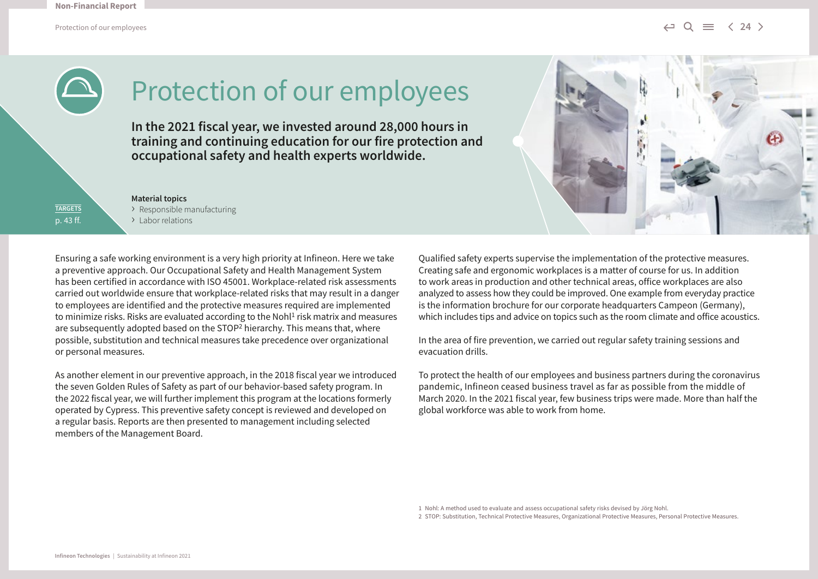

# Protection of our employees

**In the 2021 fiscal year, we invested around 28,000 hours in training and continuing education for our fire protection and occupational safety and health experts worldwide.**

**TARGETS** p. 43 ff. **Material topics** › Responsible manufacturing > Labor relations

Ensuring a safe working environment is a very high priority at Infineon. Here we take a preventive approach. Our Occupational Safety and Health Management System has been certified in accordance with ISO 45001. Workplace-related risk assessments carried out worldwide ensure that workplace-related risks that may result in a danger to employees are identified and the protective measures required are implemented to minimize risks. Risks are evaluated according to the Nohl $<sup>1</sup>$  risk matrix and measures</sup> are subsequently adopted based on the STOP<sup>2</sup> hierarchy. This means that, where possible, substitution and technical measures take precedence over organizational or personal measures.

As another element in our preventive approach, in the 2018 fiscal year we introduced the seven Golden Rules of Safety as part of our behavior-based safety program. In the 2022 fiscal year, we will further implement this program at the locations formerly operated by Cypress. This preventive safety concept is reviewed and developed on a regular basis. Reports are then presented to management including selected members of the Management Board.

Qualified safety experts supervise the implementation of the protective measures. Creating safe and ergonomic workplaces is a matter of course for us. In addition to work areas in production and other technical areas, office workplaces are also analyzed to assess how they could be improved. One example from everyday practice is the information brochure for our corporate headquarters Campeon (Germany), which includes tips and advice on topics such as the room climate and office acoustics.

In the area of fire prevention, we carried out regular safety training sessions and evacuation drills.

To protect the health of our employees and business partners during the coronavirus pandemic, Infineon ceased business travel as far as possible from the middle of March 2020. In the 2021 fiscal year, few business trips were made. More than half the global workforce was able to work from home.

1 Nohl: A method used to evaluate and assess occupational safety risks devised by Jörg Nohl.

2 STOP: Substitution, Technical Protective Measures, Organizational Protective Measures, Personal Protective Measures.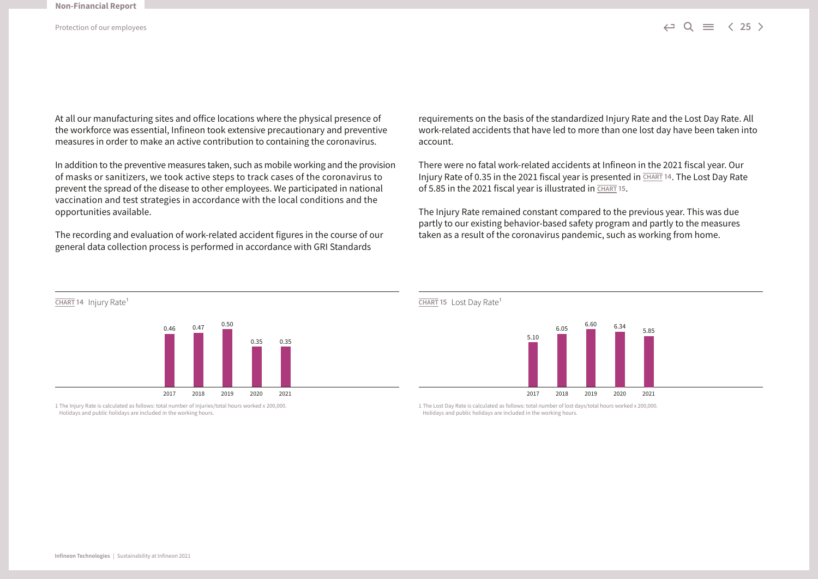At all our manufacturing sites and office locations where the physical presence of the workforce was essential, Infineon took extensive precautionary and preventive measures in order to make an active contribution to containing the coronavirus.

In addition to the preventive measures taken, such as mobile working and the provision of masks or sanitizers, we took active steps to track cases of the coronavirus to prevent the spread of the disease to other employees. We participated in national vaccination and test strategies in accordance with the local conditions and the opportunities available.

The recording and evaluation of work-related accident figures in the course of our general data collection process is performed in accordance with GRI Standards



There were no fatal work-related accidents at Infineon in the 2021 fiscal year. Our Injury Rate of 0.35 in the 2021 fiscal year is presented in **CHART 14**. The Lost Day Rate of 5.85 in the 2021 fiscal year is illustrated in **CHART 15**.

The Injury Rate remained constant compared to the previous year. This was due partly to our existing behavior-based safety program and partly to the measures taken as a result of the coronavirus pandemic, such as working from home.



1 The Injury Rate is calculated as follows: total number of injuries/total hours worked x 200,000. Holidays and public holidays are included in the working hours.



1 The Lost Day Rate is calculated as follows: total number of lost days/total hours worked x 200,000. Holidays and public holidays are included in the working hours.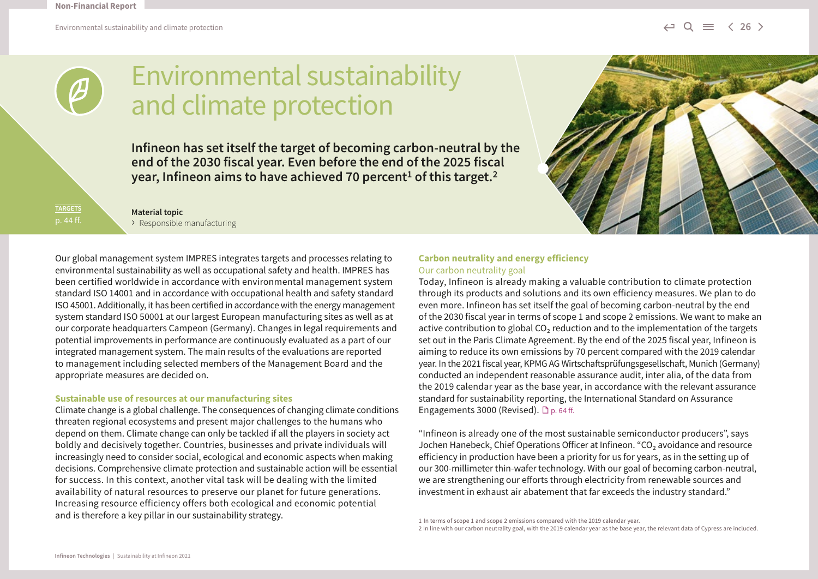

# Environmental sustainability and climate protection

**Infineon has set itself the target of becoming carbon-neutral by the end of the 2030 fiscal year. Even before the end of the 2025 fiscal year, Infineon aims to have achieved 70 percent1 of this target.2**

**TARGETS**

**Material topic** › Responsible manufacturing

Our global management system IMPRES integrates targets and processes relating to environmental sustainability as well as occupational safety and health. IMPRES has been certified worldwide in accordance with environmental management system standard ISO 14001 and in accordance with occupational health and safety standard ISO 45001. Additionally, it has been certified in accordance with the energy management system standard ISO 50001 at our largest European manufacturing sites as well as at our corporate headquarters Campeon (Germany). Changes in legal requirements and potential improvements in performance are continuously evaluated as a part of our integrated management system. The main results of the evaluations are reported to management including selected members of the Management Board and the appropriate measures are decided on.

#### **Sustainable use of resources at our manufacturing sites**

Climate change is a global challenge. The consequences of changing climate conditions threaten regional ecosystems and present major challenges to the humans who depend on them. Climate change can only be tackled if all the players in society act boldly and decisively together. Countries, businesses and private individuals will increasingly need to consider social, ecological and economic aspects when making decisions. Comprehensive climate protection and sustainable action will be essential for success. In this context, another vital task will be dealing with the limited availability of natural resources to preserve our planet for future generations. Increasing resource efficiency offers both ecological and economic potential and is therefore a key pillar in our sustainability strategy.

#### **Carbon neutrality and energy efficiency**  Our carbon neutrality goal

Today, Infineon is already making a valuable contribution to climate protection through its products and solutions and its own efficiency measures. We plan to do even more. Infineon has set itself the goal of becoming carbon-neutral by the end of the 2030 fiscal year in terms of scope 1 and scope 2 emissions. We want to make an active contribution to global  $CO<sub>2</sub>$  reduction and to the implementation of the targets set out in the Paris Climate Agreement. By the end of the 2025 fiscal year, Infineon is aiming to reduce its own emissions by 70 percent compared with the 2019 calendar year. In the 2021 fiscal year, KPMG AG Wirtschaftsprüfungsgesellschaft, Munich (Germany) conducted an independent reasonable assurance audit, inter alia, of the data from the 2019 calendar year as the base year, in accordance with the relevant assurance standard for sustainability reporting, the International Standard on Assurance Engagements 3000 (Revised).  $\Box$  p. 64 ff.

"Infineon is already one of the most sustainable semiconductor producers", says Jochen Hanebeck, Chief Operations Officer at Infineon. "CO<sub>2</sub> avoidance and resource efficiency in production have been a priority for us for years, as in the setting up of our 300-millimeter thin-wafer technology. With our goal of becoming carbon-neutral, we are strengthening our efforts through electricity from renewable sources and investment in exhaust air abatement that far exceeds the industry standard."

<sup>1</sup> In terms of scope 1 and scope 2 emissions compared with the 2019 calendar year.

<sup>2</sup> In line with our carbon neutrality goal, with the 2019 calendar year as the base year, the relevant data of Cypress are included.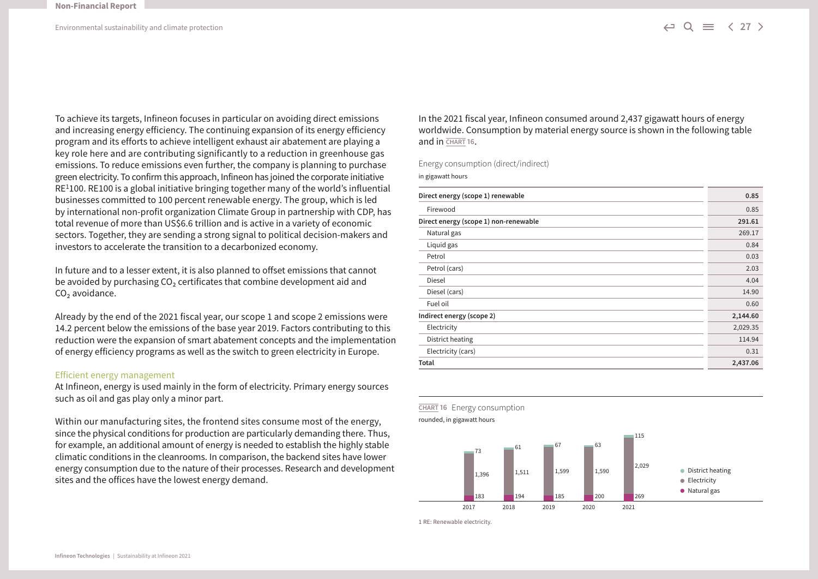To achieve its targets, Infineon focuses in particular on avoiding direct emissions and increasing energy efficiency. The continuing expansion of its energy efficiency program and its efforts to achieve intelligent exhaust air abatement are playing a key role here and are contributing significantly to a reduction in greenhouse gas emissions. To reduce emissions even further, the company is planning to purchase green electricity. To confirm this approach, Infineon has joined the corporate initiative  $RE<sup>1</sup>100$ . RE100 is a global initiative bringing together many of the world's influential businesses committed to 100 percent renewable energy. The group, which is led by international non-profit organization Climate Group in partnership with CDP, has total revenue of more than US\$6.6 trillion and is active in a variety of economic sectors. Together, they are sending a strong signal to political decision-makers and investors to accelerate the transition to a decarbonized economy.

In future and to a lesser extent, it is also planned to offset emissions that cannot be avoided by purchasing  $CO<sub>2</sub>$  certificates that combine development aid and CO<sub>2</sub> avoidance.

Already by the end of the 2021 fiscal year, our scope 1 and scope 2 emissions were 14.2 percent below the emissions of the base year 2019. Factors contributing to this reduction were the expansion of smart abatement concepts and the implementation of energy efficiency programs as well as the switch to green electricity in Europe.

#### Efficient energy management

At Infineon, energy is used mainly in the form of electricity. Primary energy sources such as oil and gas play only a minor part.

Within our manufacturing sites, the frontend sites consume most of the energy, since the physical conditions for production are particularly demanding there. Thus, for example, an additional amount of energy is needed to establish the highly stable climatic conditions in the cleanrooms. In comparison, the backend sites have lower energy consumption due to the nature of their processes. Research and development sites and the offices have the lowest energy demand.

In the 2021 fiscal year, Infineon consumed around 2,437 gigawatt hours of energy worldwide. Consumption by material energy source is shown in the following table and in **CHART 16**.

Energy consumption (direct/indirect)

in gigawatt hours

| Direct energy (scope 1) renewable     | 0.85     |
|---------------------------------------|----------|
| Firewood                              | 0.85     |
| Direct energy (scope 1) non-renewable | 291.61   |
| Natural gas                           | 269.17   |
| Liquid gas                            | 0.84     |
| Petrol                                | 0.03     |
| Petrol (cars)                         | 2.03     |
| Diesel                                | 4.04     |
| Diesel (cars)                         | 14.90    |
| Fuel oil                              | 0.60     |
| Indirect energy (scope 2)             | 2,144.60 |
| Electricity                           | 2,029.35 |
| District heating                      | 114.94   |
| Electricity (cars)                    | 0.31     |
| Total                                 | 2,437.06 |





**CHART 16** Energy consumption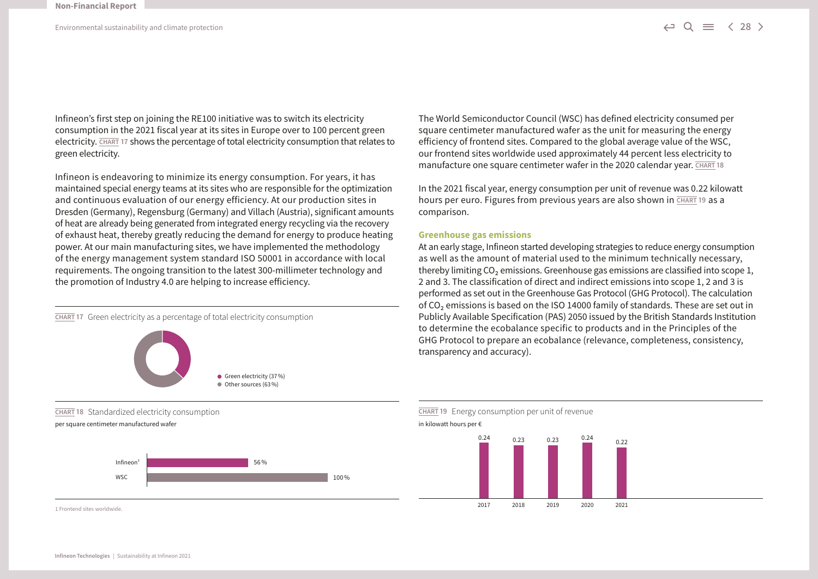Infineon's first step on joining the RE100 initiative was to switch its electricity consumption in the 2021 fiscal year at its sites in Europe over to 100 percent green electricity. **CHART 17** shows the percentage of total electricity consumption that relates to green electricity.

Infineon is endeavoring to minimize its energy consumption. For years, it has maintained special energy teams at its sites who are responsible for the optimization and continuous evaluation of our energy efficiency. At our production sites in Dresden (Germany), Regensburg (Germany) and Villach (Austria), significant amounts of heat are already being generated from integrated energy recycling via the recovery of exhaust heat, thereby greatly reducing the demand for energy to produce heating power. At our main manufacturing sites, we have implemented the methodology of the energy management system standard ISO 50001 in accordance with local requirements. The ongoing transition to the latest 300-millimeter technology and the promotion of Industry 4.0 are helping to increase efficiency.





1 Frontend sites worldwide.

The World Semiconductor Council (WSC) has defined electricity consumed per square centimeter manufactured wafer as the unit for measuring the energy efficiency of frontend sites. Compared to the global average value of the WSC, our frontend sites worldwide used approximately 44 percent less electricity to manufacture one square centimeter wafer in the 2020 calendar year. **CHART 18**

In the 2021 fiscal year, energy consumption per unit of revenue was 0.22 kilowatt hours per euro. Figures from previous years are also shown in **CHART 19** as a comparison.

#### **Greenhouse gas emissions**

At an early stage, Infineon started developing strategies to reduce energy consumption as well as the amount of material used to the minimum technically necessary, thereby limiting  $CO<sub>2</sub>$  emissions. Greenhouse gas emissions are classified into scope 1, 2 and 3. The classification of direct and indirect emissions into scope 1, 2 and 3 is performed as set out in the Greenhouse Gas Protocol (GHG Protocol). The calculation of  $CO<sub>2</sub>$  emissions is based on the ISO 14000 family of standards. These are set out in Publicly Available Specification (PAS) 2050 issued by the British Standards Institution to determine the ecobalance specific to products and in the Principles of the GHG Protocol to prepare an ecobalance (relevance, completeness, consistency, transparency and accuracy).

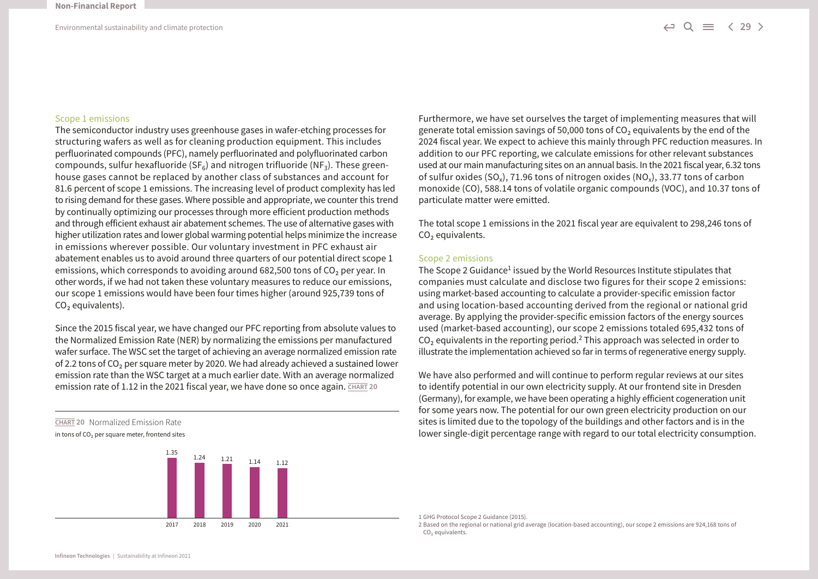#### Scope 1 emissions

The semiconductor industry uses greenhouse gases in wafer-etching processes for structuring wafers as well as for cleaning production equipment. This includes perfluorinated compounds (PFC), namely perfluorinated and polyfluorinated carbon compounds, sulfur hexafluoride (SF $_6$ ) and nitrogen trifluoride (NF<sub>3</sub>). These greenhouse gases cannot be replaced by another class of substances and account for 81.6 percent of scope 1 emissions. The increasing level of product complexity has led to rising demand for these gases. Where possible and appropriate, we counter this trend by continually optimizing our processes through more efficient production methods and through efficient exhaust air abatement schemes. The use of alternative gases with higher utilization rates and lower global warming potential helps minimize the increase in emissions wherever possible. Our voluntary investment in PFC exhaust air abatement enables us to avoid around three quarters of our potential direct scope 1 emissions, which corresponds to avoiding around 682,500 tons of  $CO<sub>2</sub>$  per year. In other words, if we had not taken these voluntary measures to reduce our emissions, our scope 1 emissions would have been four times higher (around 925,739 tons of  $CO<sub>2</sub>$  equivalents).

Since the 2015 fiscal year, we have changed our PFC reporting from absolute values to the Normalized Emission Rate (NER) by normalizing the emissions per manufactured wafer surface. The WSC set the target of achieving an average normalized emission rate of 2.2 tons of  $CO<sub>2</sub>$  per square meter by 2020. We had already achieved a sustained lower emission rate than the WSC target at a much earlier date. With an average normalized emission rate of 1.12 in the 2021 fiscal year, we have done so once again. **CHART 20** 

**CHART 20** Normalized Emission Rate

in tons of  $CO<sub>2</sub>$  per square meter, frontend sites



Furthermore, we have set ourselves the target of implementing measures that will generate total emission savings of 50,000 tons of  $CO<sub>2</sub>$  equivalents by the end of the 2024 fiscal year. We expect to achieve this mainly through PFC reduction measures. In addition to our PFC reporting, we calculate emissions for other relevant substances used at our main manufacturing sites on an annual basis. In the 2021 fiscal year, 6.32 tons of sulfur oxides (SO<sub>x</sub>), 71.96 tons of nitrogen oxides (NO<sub>x</sub>), 33.77 tons of carbon monoxide (CO), 588.14 tons of volatile organic compounds (VOC), and 10.37 tons of particulate matter were emitted.

The total scope 1 emissions in the 2021 fiscal year are equivalent to 298,246 tons of CO<sub>2</sub> equivalents.

#### Scope 2 emissions

The Scope 2 Guidance<sup>1</sup> issued by the World Resources Institute stipulates that companies must calculate and disclose two figures for their scope 2 emissions: using market-based accounting to calculate a provider-specific emission factor and using location-based accounting derived from the regional or national grid average. By applying the provider-specific emission factors of the energy sources used (market-based accounting), our scope 2 emissions totaled 695,432 tons of  $CO<sub>2</sub>$  equivalents in the reporting period.<sup>2</sup> This approach was selected in order to illustrate the implementation achieved so far in terms of regenerative energy supply.

We have also performed and will continue to perform regular reviews at our sites to identify potential in our own electricity supply. At our frontend site in Dresden (Germany), for example, we have been operating a highly efficient cogeneration unit for some years now. The potential for our own green electricity production on our sites is limited due to the topology of the buildings and other factors and is in the lower single-digit percentage range with regard to our total electricity consumption.

1 GHG Protocol Scope 2 Guidance (2015).

2 Based on the regional or national grid average (location-based accounting), our scope 2 emissions are 924,168 tons of CO<sub>2</sub> equivalents.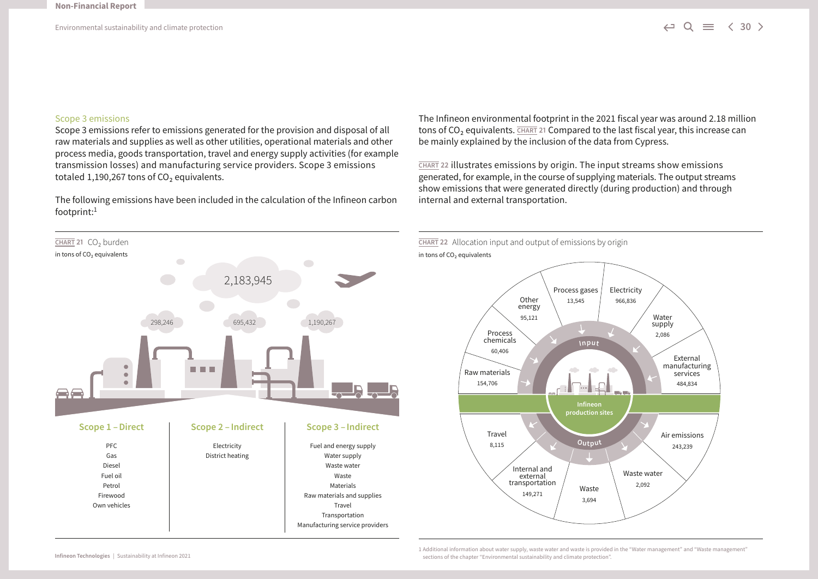#### Scope 3 emissions

Scope 3 emissions refer to emissions generated for the provision and disposal of all raw materials and supplies as well as other utilities, operational materials and other process media, goods transportation, travel and energy supply activities (for example transmission losses) and manufacturing service providers. Scope 3 emissions totaled 1,190,267 tons of  $CO<sub>2</sub>$  equivalents.

The following emissions have been included in the calculation of the Infineon carbon footprint:1



The Infineon environmental footprint in the 2021 fiscal year was around 2.18 million tons of CO<sub>2</sub> equivalents. **CHART 21 Compared to the last fiscal year, this increase can** be mainly explained by the inclusion of the data from Cypress.

**CHART 22** illustrates emissions by origin. The input streams show emissions generated, for example, in the course of supplying materials. The output streams show emissions that were generated directly (during production) and through internal and external transportation.



1 Additional information about water supply, waste water and waste is provided in the "Water management" and "Waste management" sections of the chapter "Environmental sustainability and climate protection".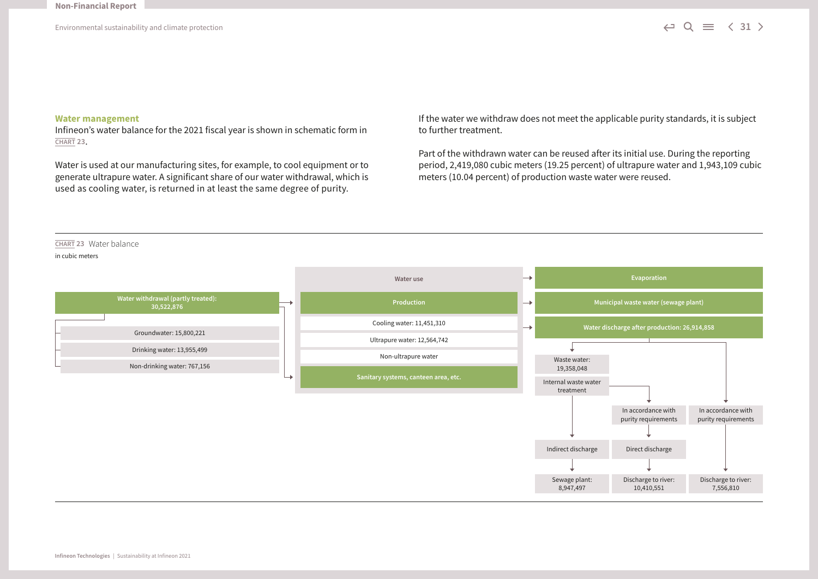#### **Water management**

Infineon's water balance for the 2021 fiscal year is shown in schematic form in **CHART 23**.

Water is used at our manufacturing sites, for example, to cool equipment or to generate ultrapure water. A significant share of our water withdrawal, which is used as cooling water, is returned in at least the same degree of purity.

If the water we withdraw does not meet the applicable purity standards, it is subject to further treatment.

Part of the withdrawn water can be reused after its initial use. During the reporting period, 2,419,080 cubic meters (19.25 percent) of ultrapure water and 1,943,109 cubic meters (10.04 percent) of production waste water were reused.

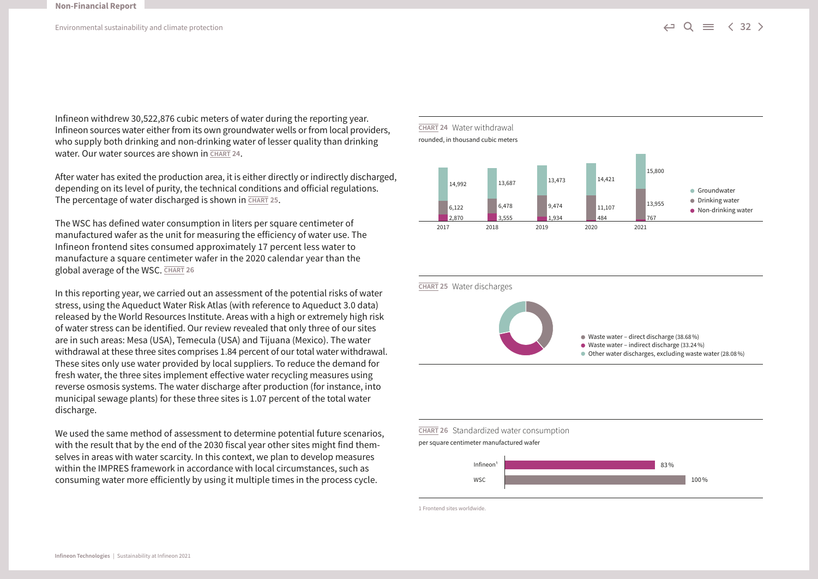Infineon withdrew 30,522,876 cubic meters of water during the reporting year. Infineon sources water either from its own groundwater wells or from local providers, who supply both drinking and non-drinking water of lesser quality than drinking water. Our water sources are shown in **CHART 24**.

After water has exited the production area, it is either directly or indirectly discharged, depending on its level of purity, the technical conditions and official regulations. The percentage of water discharged is shown in **CHART 25**.

The WSC has defined water consumption in liters per square centimeter of manufactured wafer as the unit for measuring the efficiency of water use. The Infineon frontend sites consumed approximately 17 percent less water to manufacture a square centimeter wafer in the 2020 calendar year than the global average of the WSC. **CHART 26**

In this reporting year, we carried out an assessment of the potential risks of water stress, using the Aqueduct Water Risk Atlas (with reference to Aqueduct 3.0 data) released by the World Resources Institute. Areas with a high or extremely high risk of water stress can be identified. Our review revealed that only three of our sites are in such areas: Mesa (USA), Temecula (USA) and Tijuana (Mexico). The water withdrawal at these three sites comprises 1.84 percent of our total water withdrawal. These sites only use water provided by local suppliers. To reduce the demand for fresh water, the three sites implement effective water recycling measures using reverse osmosis systems. The water discharge after production (for instance, into municipal sewage plants) for these three sites is 1.07 percent of the total water discharge.

We used the same method of assessment to determine potential future scenarios, with the result that by the end of the 2030 fiscal year other sites might find themselves in areas with water scarcity. In this context, we plan to develop measures within the IMPRES framework in accordance with local circumstances, such as consuming water more efficiently by using it multiple times in the process cycle.





#### **CHART 26** Standardized water consumption per square centimeter manufactured wafer



1 Frontend sites worldwide.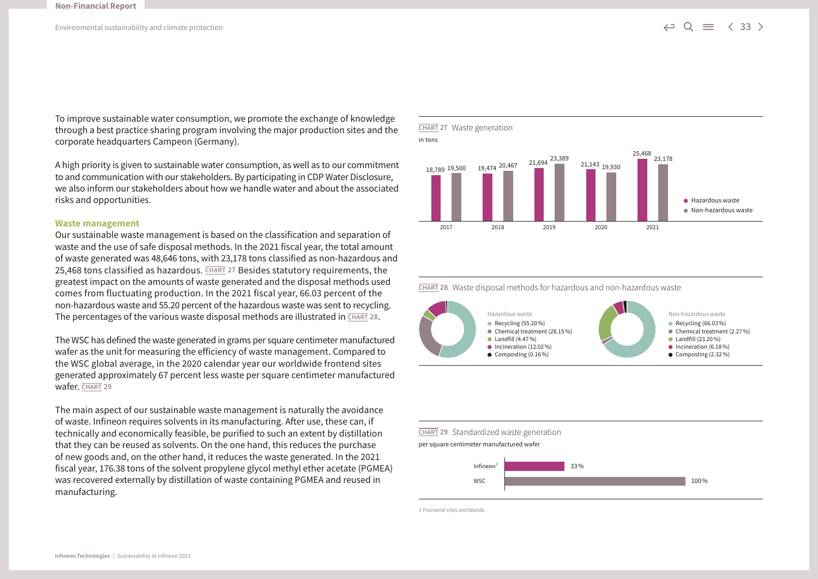To improve sustainable water consumption, we promote the exchange of knowledge through a best practice sharing program involving the major production sites and the corporate headquarters Campeon (Germany).

A high priority is given to sustainable water consumption, as well as to our commitment to and communication with our stakeholders. By participating in CDP Water Disclosure, we also inform our stakeholders about how we handle water and about the associated risks and opportunities.

#### **Waste management**

Our sustainable waste management is based on the classification and separation of waste and the use of safe disposal methods. In the 2021 fiscal year, the total amount of waste generated was 48,646 tons, with 23,178 tons classified as non-hazardous and 25,468 tons classified as hazardous. **CHART 27** Besides statutory requirements, the greatest impact on the amounts of waste generated and the disposal methods used comes from fluctuating production. In the 2021 fiscal year, 66.03 percent of the non-hazardous waste and 55.20 percent of the hazardous waste was sent to recycling. The percentages of the various waste disposal methods are illustrated in **CHART 28**.

The WSC has defined the waste generated in grams per square centimeter manufactured wafer as the unit for measuring the efficiency of waste management. Compared to the WSC global average, in the 2020 calendar year our worldwide frontend sites generated approximately 67 percent less waste per square centimeter manufactured wafer. **CHART 29**

The main aspect of our sustainable waste management is naturally the avoidance of waste. Infineon requires solvents in its manufacturing. After use, these can, if technically and economically feasible, be purified to such an extent by distillation that they can be reused as solvents. On the one hand, this reduces the purchase of new goods and, on the other hand, it reduces the waste generated. In the 2021 fiscal year, 176.38 tons of the solvent propylene glycol methyl ether acetate (PGMEA) was recovered externally by distillation of waste containing PGMEA and reused in manufacturing.



**CHART 28** Waste disposal methods for hazardous and non-hazardous waste



#### **CHART 29** Standardized waste generation

per square centimeter manufactured wafer



1 Frontend sites worldwide.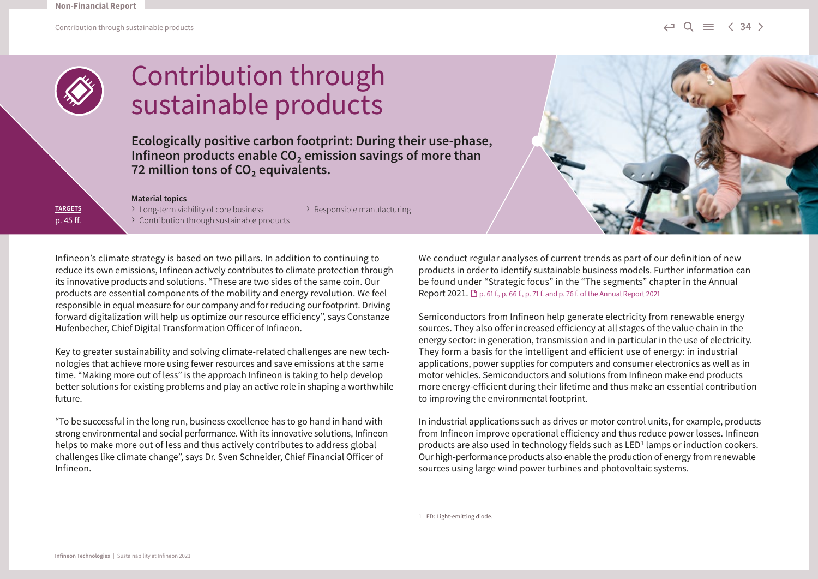

### Contribution through sustainable products

**Ecologically positive carbon footprint: During their use-phase, Infineon products enable CO<sub>2</sub> emission savings of more than** 72 million tons of CO<sub>2</sub> equivalents.

#### **Material topics**

**TARGETS** p. 45 ff. > Long-term viability of core business > Responsible manufacturing › Contribution through sustainable products

Infineon's climate strategy is based on two pillars. In addition to continuing to reduce its own emissions, Infineon actively contributes to climate protection through its innovative products and solutions. "These are two sides of the same coin. Our products are essential components of the mobility and energy revolution. We feel responsible in equal measure for our company and for reducing our footprint. Driving forward digitalization will help us optimize our resource efficiency", says Constanze Hufenbecher, Chief Digital Transformation Officer of Infineon.

Key to greater sustainability and solving climate-related challenges are new technologies that achieve more using fewer resources and save emissions at the same time. "Making more out of less" is the approach Infineon is taking to help develop better solutions for existing problems and play an active role in shaping a worthwhile future.

"To be successful in the long run, business excellence has to go hand in hand with strong environmental and social performance. With its innovative solutions, Infineon helps to make more out of less and thus actively contributes to address global challenges like climate change", says Dr. Sven Schneider, Chief Financial Officer of Infineon.

We conduct regular analyses of current trends as part of our definition of new products in order to identify sustainable business models. Further information can be found under "Strategic focus" in the "The segments" chapter in the Annual Report 2021.  $\Box$  p. 61 f., p. 66 f., p. 71 f. and p. 76 f. of the Annual Report 2021

Semiconductors from Infineon help generate electricity from renewable energy sources. They also offer increased efficiency at all stages of the value chain in the energy sector: in generation, transmission and in particular in the use of electricity. They form a basis for the intelligent and efficient use of energy: in industrial applications, power supplies for computers and consumer electronics as well as in motor vehicles. Semiconductors and solutions from Infineon make end products more energy-efficient during their lifetime and thus make an essential contribution to improving the environmental footprint.

In industrial applications such as drives or motor control units, for example, products from Infineon improve operational efficiency and thus reduce power losses. Infineon products are also used in technology fields such as  $LED<sup>1</sup>$  lamps or induction cookers. Our high-performance products also enable the production of energy from renewable sources using large wind power turbines and photovoltaic systems.

1 LED: Light-emitting diode.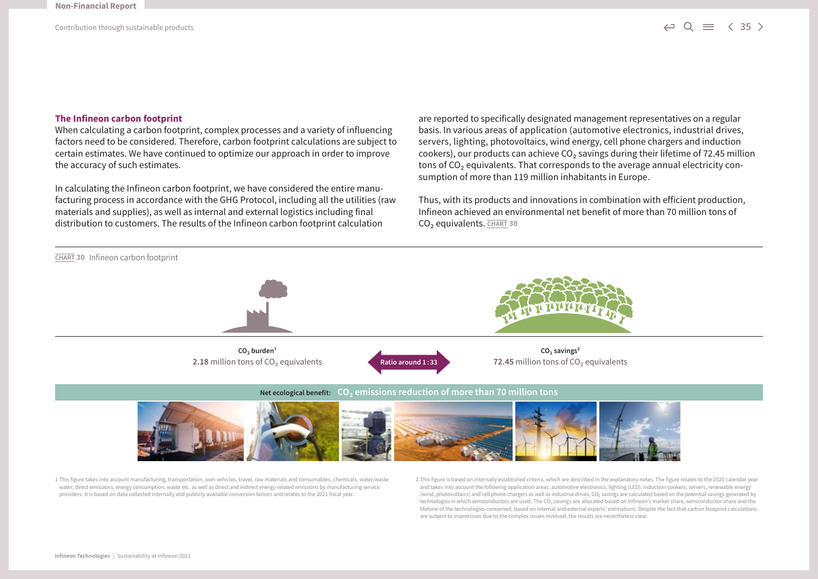#### **The Infineon carbon footprint**

When calculating a carbon footprint, complex processes and a variety of influencing factors need to be considered. Therefore, carbon footprint calculations are subject to certain estimates. We have continued to optimize our approach in order to improve the accuracy of such estimates.

In calculating the Infineon carbon footprint, we have considered the entire manufacturing process in accordance with the GHG Protocol, including all the utilities (raw materials and supplies), as well as internal and external logistics including final distribution to customers. The results of the Infineon carbon footprint calculation

are reported to specifically designated management representatives on a regular basis. In various areas of application (automotive electronics, industrial drives, servers, lighting, photovoltaics, wind energy, cell phone chargers and induction cookers), our products can achieve  $CO<sub>2</sub>$  savings during their lifetime of 72.45 million tons of  $CO<sub>2</sub>$  equivalents. That corresponds to the average annual electricity consumption of more than 119 million inhabitants in Europe.

Thus, with its products and innovations in combination with efficient production, Infineon achieved an environmental net benefit of more than 70 million tons of CO2 equivalents. **CHART 30**



1 This figure takes into account manufacturing, transportation, own vehicles, travel, raw materials and consumables, chemicals, water/waste water, direct emissions, energy consumption, waste etc. as well as direct and indirect energy-related emissions by manufacturing service providers. It is based on data collected internally and publicly available conversion factors and relates to the 2021 fiscal year.

2 This figure is based on internally established criteria, which are described in the explanatory notes. The figure relates to the 2020 calendar year and takes into account the following application areas: automotive electronics, lighting (LED), induction cookers, servers, renewable energy (wind, photovoltaics) and cell phone chargers as well as industrial drives. CO<sub>2</sub> savings are calculated based on the potential savings generated by technologies in which semiconductors are used. The CO<sub>2</sub> savings are allocated based on Infineon's market share, semiconductor share and the lifetime of the technologies concerned, based on internal and external experts' estimations. Despite the fact that carbon footprint calculations are subject to imprecision due to the complex issues involved, the results are nevertheless clear.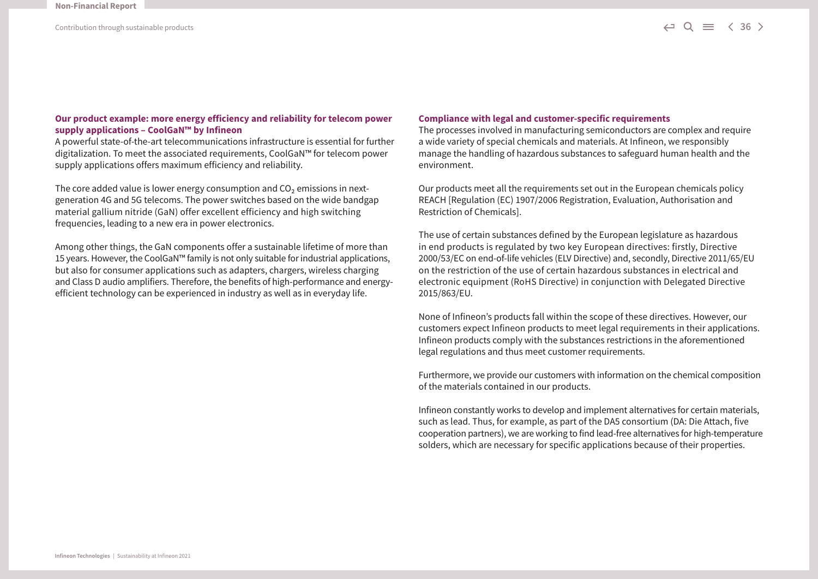#### **Our product example: more energy efficiency and reliability for telecom power supply applications – CoolGaN™ by Infineon**

A powerful state-of-the-art telecommunications infrastructure is essential for further digitalization. To meet the associated requirements, CoolGaN™ for telecom power supply applications offers maximum efficiency and reliability.

The core added value is lower energy consumption and  $CO<sub>2</sub>$  emissions in nextgeneration 4G and 5G telecoms. The power switches based on the wide bandgap material gallium nitride (GaN) offer excellent efficiency and high switching frequencies, leading to a new era in power electronics.

Among other things, the GaN components offer a sustainable lifetime of more than 15 years. However, the CoolGaN™ family is not only suitable for industrial applications, but also for consumer applications such as adapters, chargers, wireless charging and Class D audio amplifiers. Therefore, the benefits of high-performance and energyefficient technology can be experienced in industry as well as in everyday life.

#### **Compliance with legal and customer-specific requirements**

The processes involved in manufacturing semiconductors are complex and require a wide variety of special chemicals and materials. At Infineon, we responsibly manage the handling of hazardous substances to safeguard human health and the environment.

Our products meet all the requirements set out in the European chemicals policy REACH [Regulation (EC) 1907/2006 Registration, Evaluation, Authorisation and Restriction of Chemicals].

The use of certain substances defined by the European legislature as hazardous in end products is regulated by two key European directives: firstly, Directive 2000/53/EC on end-of-life vehicles (ELV Directive) and, secondly, Directive 2011/65/EU on the restriction of the use of certain hazardous substances in electrical and electronic equipment (RoHS Directive) in conjunction with Delegated Directive 2015/863/EU.

None of Infineon's products fall within the scope of these directives. However, our customers expect Infineon products to meet legal requirements in their applications. Infineon products comply with the substances restrictions in the aforementioned legal regulations and thus meet customer requirements.

Furthermore, we provide our customers with information on the chemical composition of the materials contained in our products.

Infineon constantly works to develop and implement alternatives for certain materials, such as lead. Thus, for example, as part of the DA5 consortium (DA: Die Attach, five cooperation partners), we are working to find lead-free alternatives for high-temperature solders, which are necessary for specific applications because of their properties.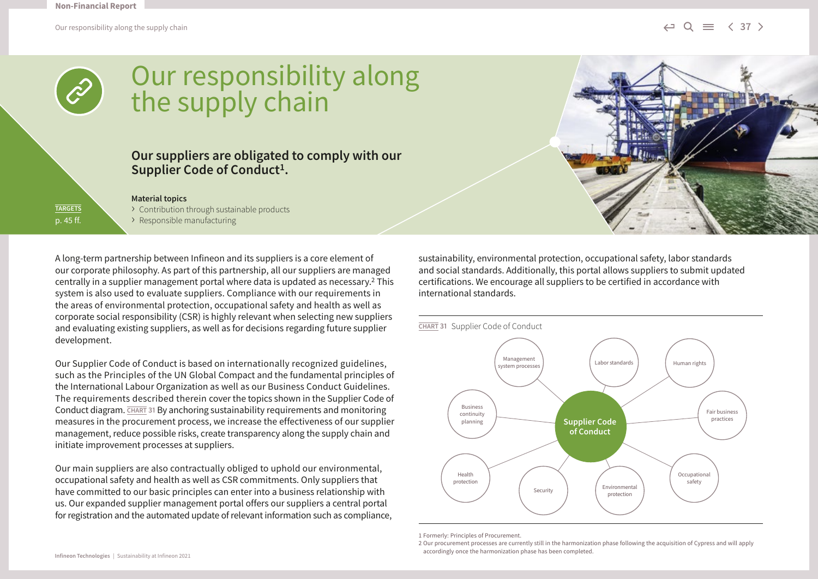

### Our responsibility along the supply chain

### **Our suppliers are obligated to comply with our**  Supplier Code of Conduct<sup>1</sup>.

**TARGETS** p. 45 ff. **Material topics** › Contribution through sustainable products › Responsible manufacturing

A long-term partnership between Infineon and its suppliers is a core element of our corporate philosophy. As part of this partnership, all our suppliers are managed centrally in a supplier management portal where data is updated as necessary.2 This system is also used to evaluate suppliers. Compliance with our requirements in the areas of environmental protection, occupational safety and health as well as corporate social responsibility (CSR) is highly relevant when selecting new suppliers and evaluating existing suppliers, as well as for decisions regarding future supplier development.

Our Supplier Code of Conduct is based on internationally recognized guidelines, such as the Principles of the UN Global Compact and the fundamental principles of the International Labour Organization as well as our Business Conduct Guidelines. The requirements described therein cover the topics shown in the Supplier Code of Conduct diagram. **CHART 31** By anchoring sustainability requirements and monitoring measures in the procurement process, we increase the effectiveness of our supplier management, reduce possible risks, create transparency along the supply chain and initiate improvement processes at suppliers.

Our main suppliers are also contractually obliged to uphold our environmental, occupational safety and health as well as CSR commitments. Only suppliers that have committed to our basic principles can enter into a business relationship with us. Our expanded supplier management portal offers our suppliers a central portal for registration and the automated update of relevant information such as compliance, sustainability, environmental protection, occupational safety, labor standards and social standards. Additionally, this portal allows suppliers to submit updated certifications. We encourage all suppliers to be certified in accordance with international standards.



1 Formerly: Principles of Procurement.

<sup>2</sup> Our procurement processes are currently still in the harmonization phase following the acquisition of Cypress and will apply accordingly once the harmonization phase has been completed.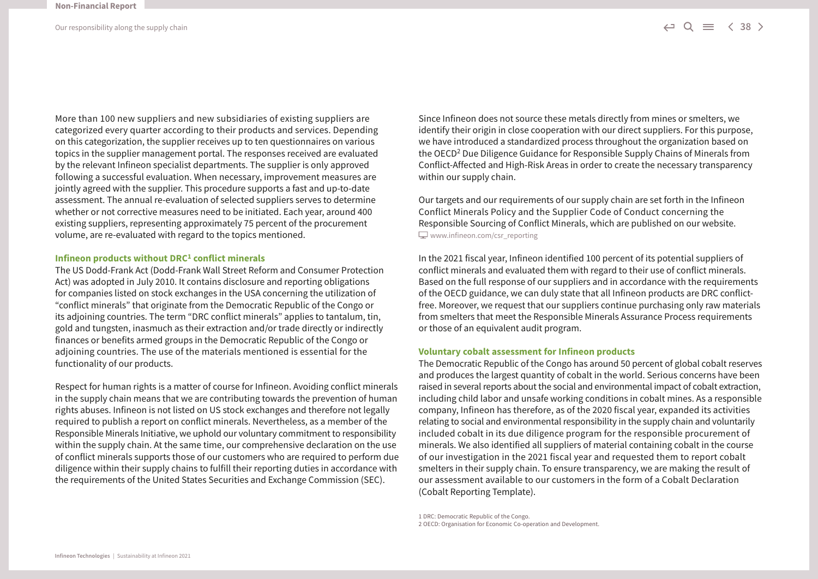More than 100 new suppliers and new subsidiaries of existing suppliers are categorized every quarter according to their products and services. Depending on this categorization, the supplier receives up to ten questionnaires on various topics in the supplier management portal. The responses received are evaluated by the relevant Infineon specialist departments. The supplier is only approved following a successful evaluation. When necessary, improvement measures are jointly agreed with the supplier. This procedure supports a fast and up-to-date assessment. The annual re-evaluation of selected suppliers serves to determine whether or not corrective measures need to be initiated. Each year, around 400 existing suppliers, representing approximately 75 percent of the procurement volume, are re-evaluated with regard to the topics mentioned.

#### **Infineon products without DRC1 conflict minerals**

The US Dodd-Frank Act (Dodd-Frank Wall Street Reform and Consumer Protection Act) was adopted in July 2010. It contains disclosure and reporting obligations for companies listed on stock exchanges in the USA concerning the utilization of "conflict minerals" that originate from the Democratic Republic of the Congo or its adjoining countries. The term "DRC conflict minerals" applies to tantalum, tin, gold and tungsten, inasmuch as their extraction and/or trade directly or indirectly finances or benefits armed groups in the Democratic Republic of the Congo or adjoining countries. The use of the materials mentioned is essential for the functionality of our products.

Respect for human rights is a matter of course for Infineon. Avoiding conflict minerals in the supply chain means that we are contributing towards the prevention of human rights abuses. Infineon is not listed on US stock exchanges and therefore not legally required to publish a report on conflict minerals. Nevertheless, as a member of the Responsible Minerals Initiative, we uphold our voluntary commitment to responsibility within the supply chain. At the same time, our comprehensive declaration on the use of conflict minerals supports those of our customers who are required to perform due diligence within their supply chains to fulfill their reporting duties in accordance with the requirements of the United States Securities and Exchange Commission (SEC).

Since Infineon does not source these metals directly from mines or smelters, we identify their origin in close cooperation with our direct suppliers. For this purpose, we have introduced a standardized process throughout the organization based on the OECD2 Due Diligence Guidance for Responsible Supply Chains of Minerals from Conflict-Affected and High-Risk Areas in order to create the necessary transparency within our supply chain.

Our targets and our requirements of our supply chain are set forth in the Infineon Conflict Minerals Policy and the Supplier Code of Conduct concerning the Responsible Sourcing of Conflict Minerals, which are published on our website.  $\Box$  [www.infineon.com/csr\\_reporting](http://www.infineon.com/csr_reporting)

In the 2021 fiscal year, Infineon identified 100 percent of its potential suppliers of conflict minerals and evaluated them with regard to their use of conflict minerals. Based on the full response of our suppliers and in accordance with the requirements of the OECD guidance, we can duly state that all Infineon products are DRC conflictfree. Moreover, we request that our suppliers continue purchasing only raw materials from smelters that meet the Responsible Minerals Assurance Process requirements or those of an equivalent audit program.

#### **Voluntary cobalt assessment for Infineon products**

The Democratic Republic of the Congo has around 50 percent of global cobalt reserves and produces the largest quantity of cobalt in the world. Serious concerns have been raised in several reports about the social and environmental impact of cobalt extraction, including child labor and unsafe working conditions in cobalt mines. As a responsible company, Infineon has therefore, as of the 2020 fiscal year, expanded its activities relating to social and environmental responsibility in the supply chain and voluntarily included cobalt in its due diligence program for the responsible procurement of minerals. We also identified all suppliers of material containing cobalt in the course of our investigation in the 2021 fiscal year and requested them to report cobalt smelters in their supply chain. To ensure transparency, we are making the result of our assessment available to our customers in the form of a Cobalt Declaration (Cobalt Reporting Template).

1 DRC: Democratic Republic of the Congo. 2 OECD: Organisation for Economic Co-operation and Development.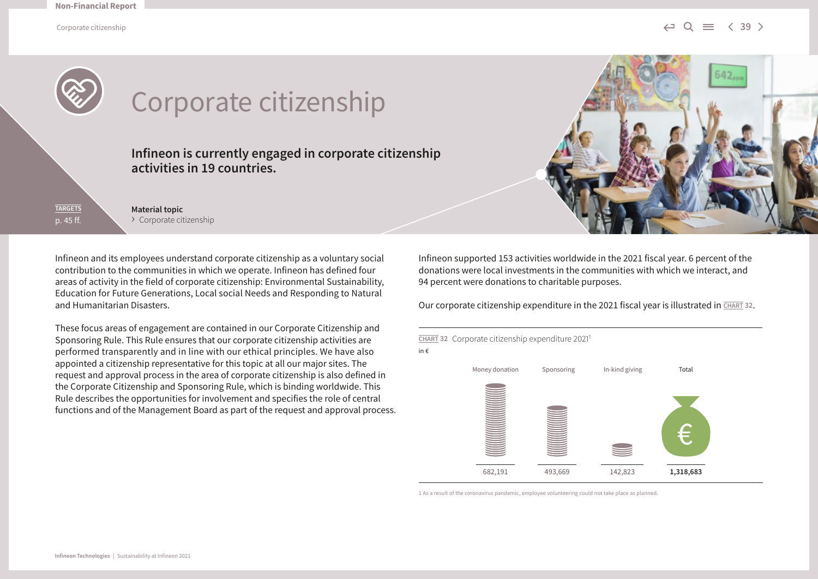Corporate citizenship  $\leftarrow \cup \mathbb{Q} \equiv \langle 39 \rangle$ 

642.



**TARGETS** p. 45 ff. **Material topic** › Corporate citizenship

Infineon and its employees understand corporate citizenship as a voluntary social contribution to the communities in which we operate. Infineon has defined four areas of activity in the field of corporate citizenship: Environmental Sustainability, Education for Future Generations, Local social Needs and Responding to Natural and Humanitarian Disasters.

These focus areas of engagement are contained in our Corporate Citizenship and Sponsoring Rule. This Rule ensures that our corporate citizenship activities are performed transparently and in line with our ethical principles. We have also appointed a citizenship representative for this topic at all our major sites. The request and approval process in the area of corporate citizenship is also defined in the Corporate Citizenship and Sponsoring Rule, which is binding worldwide. This Rule describes the opportunities for involvement and specifies the role of central functions and of the Management Board as part of the request and approval process. Infineon supported 153 activities worldwide in the 2021 fiscal year. 6 percent of the donations were local investments in the communities with which we interact, and 94 percent were donations to charitable purposes.

Our corporate citizenship expenditure in the 2021 fiscal year is illustrated in **CHART 32**.



1 As a result of the coronavirus pandemic, employee volunteering could not take place as planned.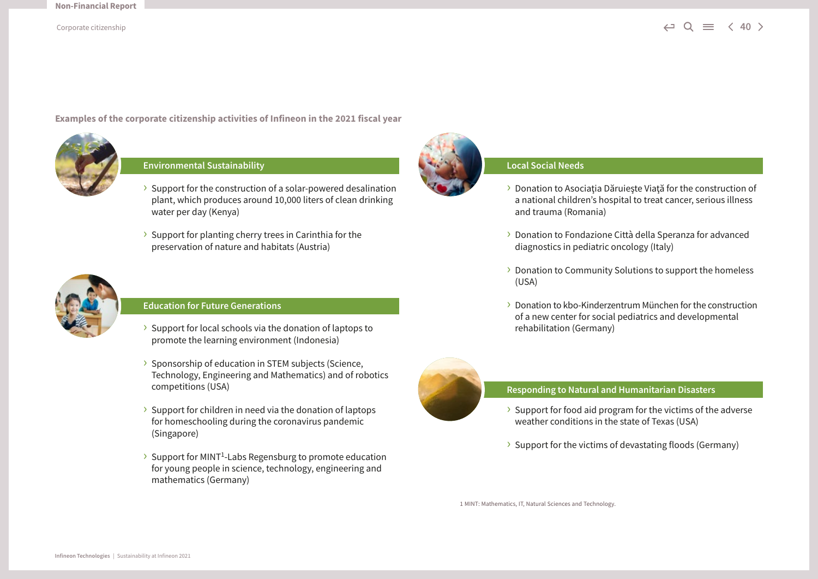**Examples of the corporate citizenship activities of Infineon in the 2021 fiscal year**



### **Environmental Sustainability**

- › Support for the construction of a solar-powered desalination plant, which produces around 10,000 liters of clean drinking water per day (Kenya)
- › Support for planting cherry trees in Carinthia for the preservation of nature and habitats (Austria)



#### **Education for Future Generations**

- › Support for local schools via the donation of laptops to promote the learning environment (Indonesia)
- › Sponsorship of education in STEM subjects (Science, Technology, Engineering and Mathematics) and of robotics competitions (USA)
- › Support for children in need via the donation of laptops for homeschooling during the coronavirus pandemic (Singapore)
- › Support for MINT1-Labs Regensburg to promote education for young people in science, technology, engineering and mathematics (Germany)



### **Local Social Needs**

- > Donation to Asociatia Dăruiește Viată for the construction of a national children's hospital to treat cancer, serious illness and trauma (Romania)
- › Donation to Fondazione Città della Speranza for advanced diagnostics in pediatric oncology (Italy)
- › Donation to Community Solutions to support the homeless (USA)
- › Donation to kbo-Kinderzentrum München for the construction of a new center for social pediatrics and developmental rehabilitation (Germany)



#### **Responding to Natural and Humanitarian Disasters**

- $\rightarrow$  Support for food aid program for the victims of the adverse weather conditions in the state of Texas (USA)
- › Support for the victims of devastating floods (Germany)

1 MINT: Mathematics, IT, Natural Sciences and Technology.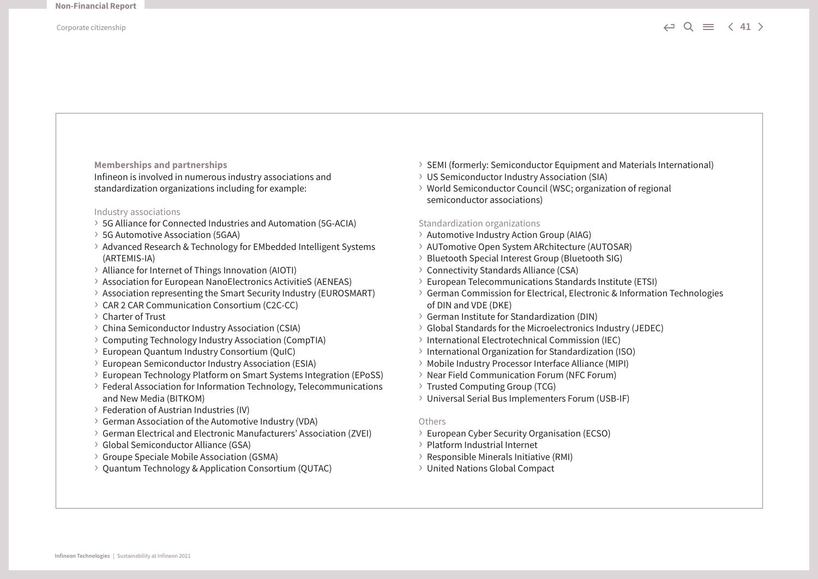**Memberships and partnerships**

Infineon is involved in numerous industry associations and standardization organizations including for example:

#### Industry associations

- › 5G Alliance for Connected Industries and Automation (5G-ACIA)
- › 5G Automotive Association (5GAA)
- › Advanced Research & Technology for EMbedded Intelligent Systems (ARTEMIS-IA)
- › Alliance for Internet of Things Innovation (AIOTI)
- › Association for European NanoElectronics ActivitieS (AENEAS)
- › Association representing the Smart Security Industry (EUROSMART)
- › CAR 2 CAR Communication Consortium (C2C-CC)
- › Charter of Trust
- › China Semiconductor Industry Association (CSIA)
- › Computing Technology Industry Association (CompTIA)
- › European Quantum Industry Consortium (QuIC)
- › European Semiconductor Industry Association (ESIA)
- › European Technology Platform on Smart Systems Integration (EPoSS)
- › Federal Association for Information Technology, Telecommunications and New Media (BITKOM)
- › Federation of Austrian Industries (IV)
- › German Association of the Automotive Industry (VDA)
- › German Electrical and Electronic Manufacturers' Association (ZVEI)
- › Global Semiconductor Alliance (GSA)
- › Groupe Speciale Mobile Association (GSMA)
- › Quantum Technology & Application Consortium (QUTAC)
- › SEMI (formerly: Semiconductor Equipment and Materials International)
- › US Semiconductor Industry Association (SIA)
- › World Semiconductor Council (WSC; organization of regional semiconductor associations)

#### Standardization organizations

- › Automotive Industry Action Group (AIAG)
- › AUTomotive Open System ARchitecture (AUTOSAR)
- › Bluetooth Special Interest Group (Bluetooth SIG)
- › Connectivity Standards Alliance (CSA)
- › European Telecommunications Standards Institute (ETSI)
- › German Commission for Electrical, Electronic & Information Technologies of DIN and VDE (DKE)
- › German Institute for Standardization (DIN)
- › Global Standards for the Microelectronics Industry (JEDEC)
- › International Electrotechnical Commission (IEC)
- › International Organization for Standardization (ISO)
- › Mobile Industry Processor Interface Alliance (MIPI)
- › Near Field Communication Forum (NFC Forum)
- › Trusted Computing Group (TCG)
- › Universal Serial Bus Implementers Forum (USB-IF)

#### **Others**

- › European Cyber Security Organisation (ECSO)
- › Platform Industrial Internet
- › Responsible Minerals Initiative (RMI)
- › United Nations Global Compact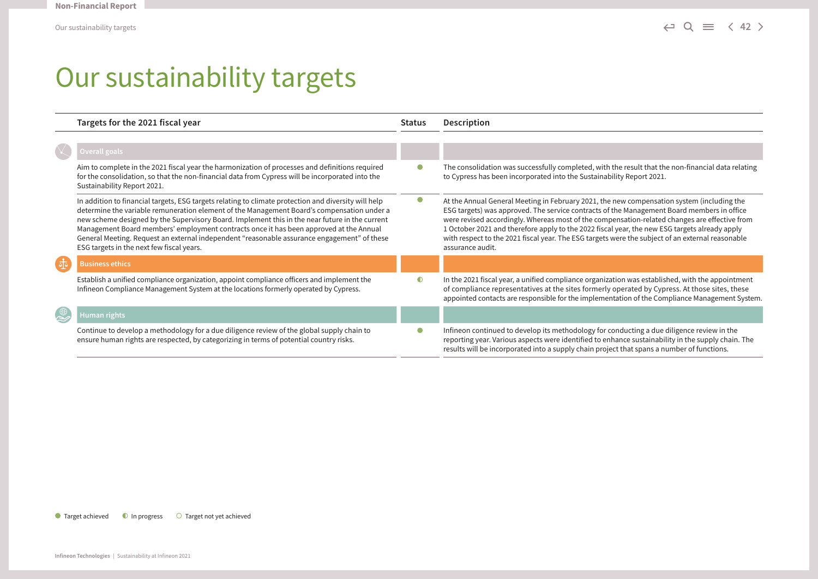## Our sustainability targets

|                             | Targets for the 2021 fiscal year                                                                                                                                                                                                                                                                                                                                                                                                                                                                                                           | <b>Status</b> | Description                                                                                                                                                                                                                                                                                                                                                                                                                                                                                                        |
|-----------------------------|--------------------------------------------------------------------------------------------------------------------------------------------------------------------------------------------------------------------------------------------------------------------------------------------------------------------------------------------------------------------------------------------------------------------------------------------------------------------------------------------------------------------------------------------|---------------|--------------------------------------------------------------------------------------------------------------------------------------------------------------------------------------------------------------------------------------------------------------------------------------------------------------------------------------------------------------------------------------------------------------------------------------------------------------------------------------------------------------------|
|                             |                                                                                                                                                                                                                                                                                                                                                                                                                                                                                                                                            |               |                                                                                                                                                                                                                                                                                                                                                                                                                                                                                                                    |
|                             | Overall goals                                                                                                                                                                                                                                                                                                                                                                                                                                                                                                                              |               |                                                                                                                                                                                                                                                                                                                                                                                                                                                                                                                    |
|                             | Aim to complete in the 2021 fiscal year the harmonization of processes and definitions required<br>for the consolidation, so that the non-financial data from Cypress will be incorporated into the<br>Sustainability Report 2021.                                                                                                                                                                                                                                                                                                         |               | The consolidation was successfully completed, with the result that the non-financial data relating<br>to Cypress has been incorporated into the Sustainability Report 2021.                                                                                                                                                                                                                                                                                                                                        |
|                             | In addition to financial targets, ESG targets relating to climate protection and diversity will help<br>determine the variable remuneration element of the Management Board's compensation under a<br>new scheme designed by the Supervisory Board. Implement this in the near future in the current<br>Management Board members' employment contracts once it has been approved at the Annual<br>General Meeting. Request an external independent "reasonable assurance engagement" of these<br>ESG targets in the next few fiscal years. | $\bullet$     | At the Annual General Meeting in February 2021, the new compensation system (including the<br>ESG targets) was approved. The service contracts of the Management Board members in office<br>were revised accordingly. Whereas most of the compensation-related changes are effective from<br>1 October 2021 and therefore apply to the 2022 fiscal year, the new ESG targets already apply<br>with respect to the 2021 fiscal year. The ESG targets were the subject of an external reasonable<br>assurance audit. |
|                             | <b>Business ethics</b>                                                                                                                                                                                                                                                                                                                                                                                                                                                                                                                     |               |                                                                                                                                                                                                                                                                                                                                                                                                                                                                                                                    |
|                             | Establish a unified compliance organization, appoint compliance officers and implement the<br>Infineon Compliance Management System at the locations formerly operated by Cypress.                                                                                                                                                                                                                                                                                                                                                         | $\bullet$     | In the 2021 fiscal year, a unified compliance organization was established, with the appointment<br>of compliance representatives at the sites formerly operated by Cypress. At those sites, these<br>appointed contacts are responsible for the implementation of the Compliance Management System.                                                                                                                                                                                                               |
| $\overset{\oplus}{\approx}$ | Human rights                                                                                                                                                                                                                                                                                                                                                                                                                                                                                                                               |               |                                                                                                                                                                                                                                                                                                                                                                                                                                                                                                                    |
|                             | Continue to develop a methodology for a due diligence review of the global supply chain to<br>ensure human rights are respected, by categorizing in terms of potential country risks.                                                                                                                                                                                                                                                                                                                                                      | O             | Infineon continued to develop its methodology for conducting a due diligence review in the<br>reporting year. Various aspects were identified to enhance sustainability in the supply chain. The<br>results will be incorporated into a supply chain project that spans a number of functions.                                                                                                                                                                                                                     |

 $\bullet$  Target achieved  $\bullet$  In progress  $\bullet$  Target not yet achieved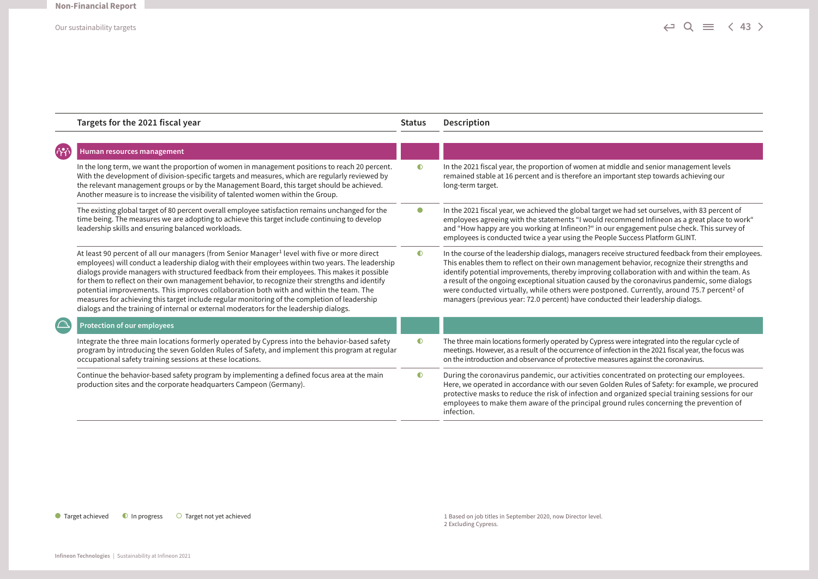|                    | Targets for the 2021 fiscal year                                                                                                                                                                                                                                                                                                                                                                                                                                                                                                                                                                                                                                                                         | <b>Status</b> | Description                                                                                                                                                                                                                                                                                                                                                                                                                                                                                                                                                                                        |
|--------------------|----------------------------------------------------------------------------------------------------------------------------------------------------------------------------------------------------------------------------------------------------------------------------------------------------------------------------------------------------------------------------------------------------------------------------------------------------------------------------------------------------------------------------------------------------------------------------------------------------------------------------------------------------------------------------------------------------------|---------------|----------------------------------------------------------------------------------------------------------------------------------------------------------------------------------------------------------------------------------------------------------------------------------------------------------------------------------------------------------------------------------------------------------------------------------------------------------------------------------------------------------------------------------------------------------------------------------------------------|
| <b>630</b>         | Human resources management                                                                                                                                                                                                                                                                                                                                                                                                                                                                                                                                                                                                                                                                               |               |                                                                                                                                                                                                                                                                                                                                                                                                                                                                                                                                                                                                    |
|                    | In the long term, we want the proportion of women in management positions to reach 20 percent.<br>With the development of division-specific targets and measures, which are regularly reviewed by<br>the relevant management groups or by the Management Board, this target should be achieved.<br>Another measure is to increase the visibility of talented women within the Group.                                                                                                                                                                                                                                                                                                                     | $\bullet$     | In the 2021 fiscal year, the proportion of women at middle and senior management levels<br>remained stable at 16 percent and is therefore an important step towards achieving our<br>long-term target.                                                                                                                                                                                                                                                                                                                                                                                             |
|                    | The existing global target of 80 percent overall employee satisfaction remains unchanged for the<br>time being. The measures we are adopting to achieve this target include continuing to develop<br>leadership skills and ensuring balanced workloads.                                                                                                                                                                                                                                                                                                                                                                                                                                                  | $\bullet$     | In the 2021 fiscal year, we achieved the global target we had set ourselves, with 83 percent of<br>employees agreeing with the statements "I would recommend Infineon as a great place to work"<br>and "How happy are you working at Infineon?" in our engagement pulse check. This survey of<br>employees is conducted twice a year using the People Success Platform GLINT.                                                                                                                                                                                                                      |
|                    | At least 90 percent of all our managers (from Senior Manager <sup>1</sup> level with five or more direct<br>employees) will conduct a leadership dialog with their employees within two years. The leadership<br>dialogs provide managers with structured feedback from their employees. This makes it possible<br>for them to reflect on their own management behavior, to recognize their strengths and identify<br>potential improvements. This improves collaboration both with and within the team. The<br>measures for achieving this target include regular monitoring of the completion of leadership<br>dialogs and the training of internal or external moderators for the leadership dialogs. | $\bullet$     | In the course of the leadership dialogs, managers receive structured feedback from their employees.<br>This enables them to reflect on their own management behavior, recognize their strengths and<br>identify potential improvements, thereby improving collaboration with and within the team. As<br>a result of the ongoing exceptional situation caused by the coronavirus pandemic, some dialogs<br>were conducted virtually, while others were postponed. Currently, around 75.7 percent <sup>2</sup> of<br>managers (previous year: 72.0 percent) have conducted their leadership dialogs. |
| $\curvearrowright$ | <b>Protection of our employees</b>                                                                                                                                                                                                                                                                                                                                                                                                                                                                                                                                                                                                                                                                       |               |                                                                                                                                                                                                                                                                                                                                                                                                                                                                                                                                                                                                    |
|                    | Integrate the three main locations formerly operated by Cypress into the behavior-based safety<br>program by introducing the seven Golden Rules of Safety, and implement this program at regular<br>occupational safety training sessions at these locations.                                                                                                                                                                                                                                                                                                                                                                                                                                            | $\bullet$     | The three main locations formerly operated by Cypress were integrated into the regular cycle of<br>meetings. However, as a result of the occurrence of infection in the 2021 fiscal year, the focus was<br>on the introduction and observance of protective measures against the coronavirus.                                                                                                                                                                                                                                                                                                      |
|                    | Continue the behavior-based safety program by implementing a defined focus area at the main<br>production sites and the corporate headquarters Campeon (Germany).                                                                                                                                                                                                                                                                                                                                                                                                                                                                                                                                        | $\bullet$     | During the coronavirus pandemic, our activities concentrated on protecting our employees.<br>Here, we operated in accordance with our seven Golden Rules of Safety: for example, we procured<br>protective masks to reduce the risk of infection and organized special training sessions for our<br>employees to make them aware of the principal ground rules concerning the prevention of<br>infection.                                                                                                                                                                                          |

#### ● Target achieved ● In progress ● Target not yet achieved

1 Based on job titles in September 2020, now Director level. 2 Excluding Cypress.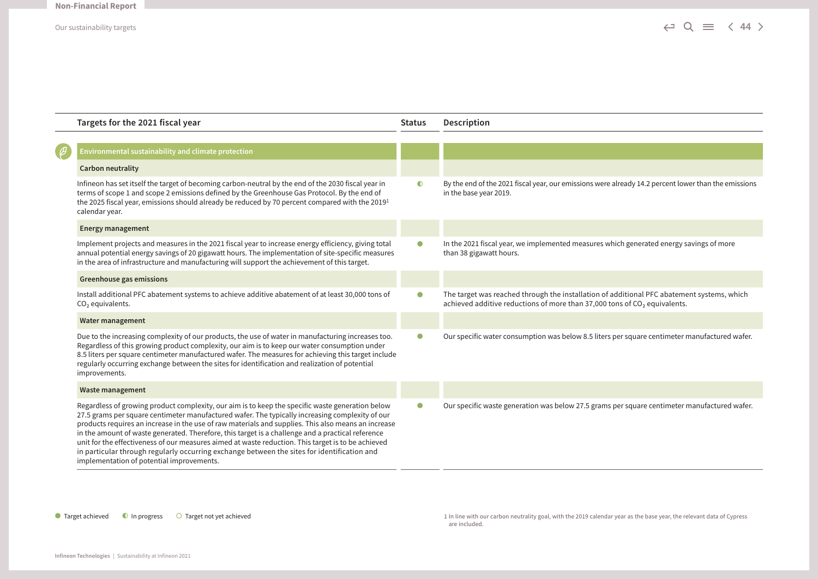|   | Targets for the 2021 fiscal year                                                                                                                                                                                                                                                                                                                                                                                                                                                                                                                                                                                                                                  | <b>Status</b> | Description                                                                                                                                                               |
|---|-------------------------------------------------------------------------------------------------------------------------------------------------------------------------------------------------------------------------------------------------------------------------------------------------------------------------------------------------------------------------------------------------------------------------------------------------------------------------------------------------------------------------------------------------------------------------------------------------------------------------------------------------------------------|---------------|---------------------------------------------------------------------------------------------------------------------------------------------------------------------------|
|   |                                                                                                                                                                                                                                                                                                                                                                                                                                                                                                                                                                                                                                                                   |               |                                                                                                                                                                           |
| Ø | Environmental sustainability and climate protection                                                                                                                                                                                                                                                                                                                                                                                                                                                                                                                                                                                                               |               |                                                                                                                                                                           |
|   | <b>Carbon neutrality</b>                                                                                                                                                                                                                                                                                                                                                                                                                                                                                                                                                                                                                                          |               |                                                                                                                                                                           |
|   | Infineon has set itself the target of becoming carbon-neutral by the end of the 2030 fiscal year in<br>terms of scope 1 and scope 2 emissions defined by the Greenhouse Gas Protocol. By the end of<br>the 2025 fiscal year, emissions should already be reduced by 70 percent compared with the 2019 <sup>1</sup><br>calendar year.                                                                                                                                                                                                                                                                                                                              | $\bullet$     | By the end of the 2021 fiscal year, our emissions were already 14.2 percent lower than the emissions<br>in the base year 2019.                                            |
|   | <b>Energy management</b>                                                                                                                                                                                                                                                                                                                                                                                                                                                                                                                                                                                                                                          |               |                                                                                                                                                                           |
|   | Implement projects and measures in the 2021 fiscal year to increase energy efficiency, giving total<br>annual potential energy savings of 20 gigawatt hours. The implementation of site-specific measures<br>in the area of infrastructure and manufacturing will support the achievement of this target.                                                                                                                                                                                                                                                                                                                                                         | $\bullet$     | In the 2021 fiscal year, we implemented measures which generated energy savings of more<br>than 38 gigawatt hours.                                                        |
|   | <b>Greenhouse gas emissions</b>                                                                                                                                                                                                                                                                                                                                                                                                                                                                                                                                                                                                                                   |               |                                                                                                                                                                           |
|   | Install additional PFC abatement systems to achieve additive abatement of at least 30,000 tons of<br>$CO2$ equivalents.                                                                                                                                                                                                                                                                                                                                                                                                                                                                                                                                           | $\bullet$     | The target was reached through the installation of additional PFC abatement systems, which<br>achieved additive reductions of more than 37,000 tons of $CO2$ equivalents. |
|   | Water management                                                                                                                                                                                                                                                                                                                                                                                                                                                                                                                                                                                                                                                  |               |                                                                                                                                                                           |
|   | Due to the increasing complexity of our products, the use of water in manufacturing increases too.<br>Regardless of this growing product complexity, our aim is to keep our water consumption under<br>8.5 liters per square centimeter manufactured wafer. The measures for achieving this target include<br>regularly occurring exchange between the sites for identification and realization of potential<br>improvements.                                                                                                                                                                                                                                     | $\bullet$     | Our specific water consumption was below 8.5 liters per square centimeter manufactured wafer.                                                                             |
|   | <b>Waste management</b>                                                                                                                                                                                                                                                                                                                                                                                                                                                                                                                                                                                                                                           |               |                                                                                                                                                                           |
|   | Regardless of growing product complexity, our aim is to keep the specific waste generation below<br>27.5 grams per square centimeter manufactured wafer. The typically increasing complexity of our<br>products requires an increase in the use of raw materials and supplies. This also means an increase<br>in the amount of waste generated. Therefore, this target is a challenge and a practical reference<br>unit for the effectiveness of our measures aimed at waste reduction. This target is to be achieved<br>in particular through regularly occurring exchange between the sites for identification and<br>implementation of potential improvements. | $\bullet$     | Our specific waste generation was below 27.5 grams per square centimeter manufactured wafer.                                                                              |

● Target achieved ● In progress ● Target not yet achieved a manufactured and the manufacture of Cypress and the 2019 calendar year as the base year, the relevant data of Cypress are included.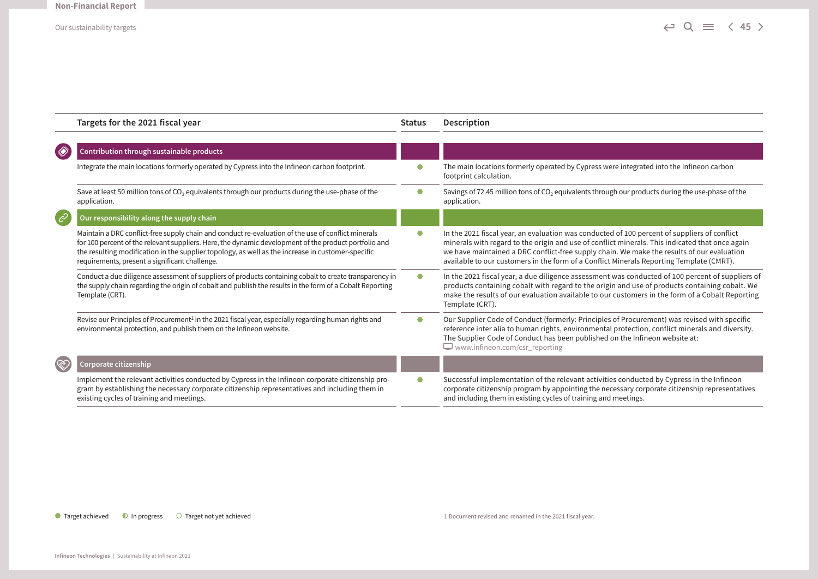|               | Targets for the 2021 fiscal year                                                                                                                                                                                                                                                                                                                                    | <b>Status</b> | Description                                                                                                                                                                                                                                                                                                                                                                               |
|---------------|---------------------------------------------------------------------------------------------------------------------------------------------------------------------------------------------------------------------------------------------------------------------------------------------------------------------------------------------------------------------|---------------|-------------------------------------------------------------------------------------------------------------------------------------------------------------------------------------------------------------------------------------------------------------------------------------------------------------------------------------------------------------------------------------------|
| ♦             | Contribution through sustainable products                                                                                                                                                                                                                                                                                                                           |               |                                                                                                                                                                                                                                                                                                                                                                                           |
|               | Integrate the main locations formerly operated by Cypress into the Infineon carbon footprint.                                                                                                                                                                                                                                                                       |               | The main locations formerly operated by Cypress were integrated into the Infineon carbon<br>footprint calculation.                                                                                                                                                                                                                                                                        |
|               | Save at least 50 million tons of CO <sub>2</sub> equivalents through our products during the use-phase of the<br>application.                                                                                                                                                                                                                                       | $\bullet$     | Savings of 72.45 million tons of $CO2$ equivalents through our products during the use-phase of the<br>application.                                                                                                                                                                                                                                                                       |
| $\mathscr{E}$ | Our responsibility along the supply chain                                                                                                                                                                                                                                                                                                                           |               |                                                                                                                                                                                                                                                                                                                                                                                           |
|               | Maintain a DRC conflict-free supply chain and conduct re-evaluation of the use of conflict minerals<br>for 100 percent of the relevant suppliers. Here, the dynamic development of the product portfolio and<br>the resulting modification in the supplier topology, as well as the increase in customer-specific<br>requirements, present a significant challenge. | $\bullet$     | In the 2021 fiscal year, an evaluation was conducted of 100 percent of suppliers of conflict<br>minerals with regard to the origin and use of conflict minerals. This indicated that once again<br>we have maintained a DRC conflict-free supply chain. We make the results of our evaluation<br>available to our customers in the form of a Conflict Minerals Reporting Template (CMRT). |
|               | Conduct a due diligence assessment of suppliers of products containing cobalt to create transparency in<br>the supply chain regarding the origin of cobalt and publish the results in the form of a Cobalt Reporting<br>Template (CRT).                                                                                                                             | $\bullet$     | In the 2021 fiscal year, a due diligence assessment was conducted of 100 percent of suppliers of<br>products containing cobalt with regard to the origin and use of products containing cobalt. We<br>make the results of our evaluation available to our customers in the form of a Cobalt Reporting<br>Template (CRT).                                                                  |
|               | Revise our Principles of Procurement <sup>1</sup> in the 2021 fiscal year, especially regarding human rights and<br>environmental protection, and publish them on the Infineon website.                                                                                                                                                                             | $\bullet$     | Our Supplier Code of Conduct (formerly: Principles of Procurement) was revised with specific<br>reference inter alia to human rights, environmental protection, conflict minerals and diversity.<br>The Supplier Code of Conduct has been published on the Infineon website at:<br>$\Box$ www.infineon.com/csr reporting                                                                  |
| ඟි            | Corporate citizenship                                                                                                                                                                                                                                                                                                                                               |               |                                                                                                                                                                                                                                                                                                                                                                                           |
|               | Implement the relevant activities conducted by Cypress in the Infineon corporate citizenship pro-<br>gram by establishing the necessary corporate citizenship representatives and including them in<br>existing cycles of training and meetings.                                                                                                                    | $\bullet$     | Successful implementation of the relevant activities conducted by Cypress in the Infineon<br>corporate citizenship program by appointing the necessary corporate citizenship representatives<br>and including them in existing cycles of training and meetings.                                                                                                                           |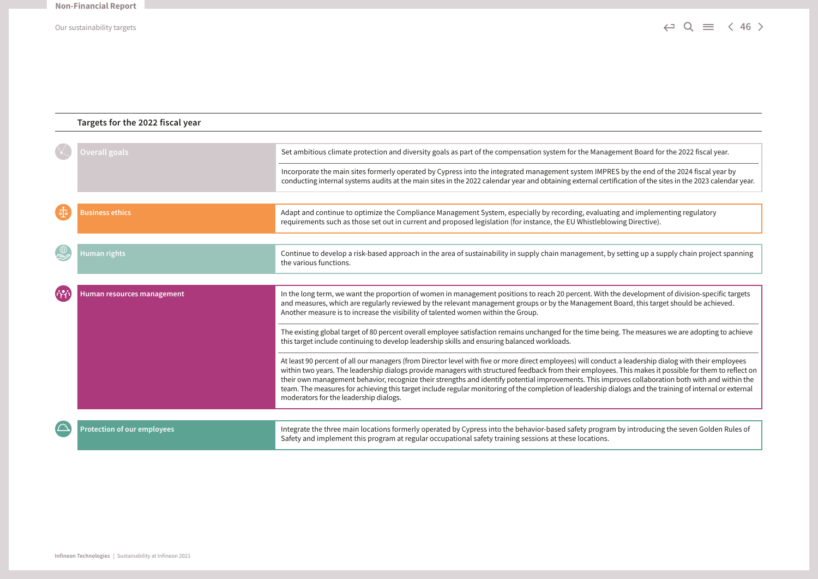### **Targets for the 2022 fiscal year Overall goals** Set ambitious climate protection and diversity goals as part of the compensation system for the Management Board for the 2022 fiscal year. Incorporate the main sites formerly operated by Cypress into the integrated management system IMPRES by the end of the 2024 fiscal year by conducting internal systems audits at the main sites in the 2022 calendar year and obtaining external certification of the sites in the 2023 calendar year. **Business ethics** Adapt and continue to optimize the Compliance Management System, especially by recording, evaluating and implementing regulatory requirements such as those set out in current and proposed legislation (for instance, the EU Whistleblowing Directive). **Human rights** Continue to develop a risk-based approach in the area of sustainability in supply chain management, by setting up a supply chain project spanning the various functions. **Human resources management** In the long term, we want the proportion of women in management positions to reach 20 percent. With the development of division-specific targets and measures, which are regularly reviewed by the relevant management groups or by the Management Board, this target should be achieved. Another measure is to increase the visibility of talented women within the Group. The existing global target of 80 percent overall employee satisfaction remains unchanged for the time being. The measures we are adopting to achieve this target include continuing to develop leadership skills and ensuring balanced workloads. At least 90 percent of all our managers (from Director level with five or more direct employees) will conduct a leadership dialog with their employees within two years. The leadership dialogs provide managers with structured feedback from their employees. This makes it possible for them to reflect on their own management behavior, recognize their strengths and identify potential improvements. This improves collaboration both with and within the team. The measures for achieving this target include regular monitoring of the completion of leadership dialogs and the training of internal or external moderators for the leadership dialogs.  $\sqrt{ }$ **Protection of our employees Integrate the three main locations formerly operated by Cypress into the behavior-based safety program by introducing the seven Golden Rules of** Safety and implement this program at regular occupational safety training sessions at these locations.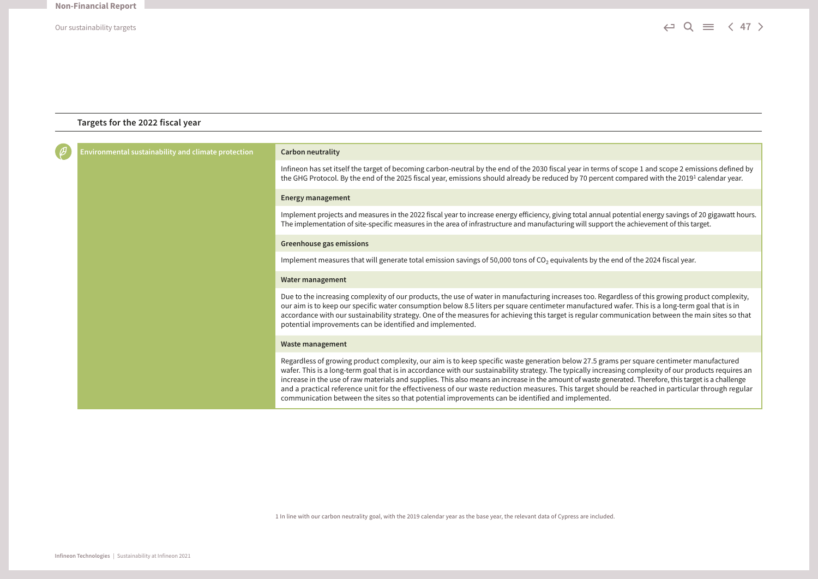### **Targets for the 2022 fiscal year**

|  | Environmental sustainability and climate protection<br><b>Carbon neutrality</b><br><b>Energy management</b><br>The implementation of site-specific measures in the area of infrastructure and manufacturing will support the achievement of this target.<br>Greenhouse gas emissions<br>Implement measures that will generate total emission savings of 50,000 tons of $CO2$ equivalents by the end of the 2024 fiscal year.<br>Water management<br>potential improvements can be identified and implemented.<br>Waste management<br>communication between the sites so that potential improvements can be identified and implemented. |                                                                                                                                                                                                                                                                                                                                                                                                                                                                                                                                                                                                                      |
|--|----------------------------------------------------------------------------------------------------------------------------------------------------------------------------------------------------------------------------------------------------------------------------------------------------------------------------------------------------------------------------------------------------------------------------------------------------------------------------------------------------------------------------------------------------------------------------------------------------------------------------------------|----------------------------------------------------------------------------------------------------------------------------------------------------------------------------------------------------------------------------------------------------------------------------------------------------------------------------------------------------------------------------------------------------------------------------------------------------------------------------------------------------------------------------------------------------------------------------------------------------------------------|
|  |                                                                                                                                                                                                                                                                                                                                                                                                                                                                                                                                                                                                                                        | Infineon has set itself the target of becoming carbon-neutral by the end of the 2030 fiscal year in terms of scope 1 and scope 2 emissions defined by<br>the GHG Protocol. By the end of the 2025 fiscal year, emissions should already be reduced by 70 percent compared with the 2019 <sup>1</sup> calendar year.                                                                                                                                                                                                                                                                                                  |
|  |                                                                                                                                                                                                                                                                                                                                                                                                                                                                                                                                                                                                                                        |                                                                                                                                                                                                                                                                                                                                                                                                                                                                                                                                                                                                                      |
|  |                                                                                                                                                                                                                                                                                                                                                                                                                                                                                                                                                                                                                                        | Implement projects and measures in the 2022 fiscal year to increase energy efficiency, giving total annual potential energy savings of 20 gigawatt hours.                                                                                                                                                                                                                                                                                                                                                                                                                                                            |
|  |                                                                                                                                                                                                                                                                                                                                                                                                                                                                                                                                                                                                                                        |                                                                                                                                                                                                                                                                                                                                                                                                                                                                                                                                                                                                                      |
|  |                                                                                                                                                                                                                                                                                                                                                                                                                                                                                                                                                                                                                                        |                                                                                                                                                                                                                                                                                                                                                                                                                                                                                                                                                                                                                      |
|  |                                                                                                                                                                                                                                                                                                                                                                                                                                                                                                                                                                                                                                        |                                                                                                                                                                                                                                                                                                                                                                                                                                                                                                                                                                                                                      |
|  |                                                                                                                                                                                                                                                                                                                                                                                                                                                                                                                                                                                                                                        | Due to the increasing complexity of our products, the use of water in manufacturing increases too. Regardless of this growing product complexity,<br>our aim is to keep our specific water consumption below 8.5 liters per square centimeter manufactured wafer. This is a long-term goal that is in<br>accordance with our sustainability strategy. One of the measures for achieving this target is regular communication between the main sites so that                                                                                                                                                          |
|  |                                                                                                                                                                                                                                                                                                                                                                                                                                                                                                                                                                                                                                        |                                                                                                                                                                                                                                                                                                                                                                                                                                                                                                                                                                                                                      |
|  |                                                                                                                                                                                                                                                                                                                                                                                                                                                                                                                                                                                                                                        | Regardless of growing product complexity, our aim is to keep specific waste generation below 27.5 grams per square centimeter manufactured<br>wafer. This is a long-term goal that is in accordance with our sustainability strategy. The typically increasing complexity of our products requires an<br>increase in the use of raw materials and supplies. This also means an increase in the amount of waste generated. Therefore, this target is a challenge<br>and a practical reference unit for the effectiveness of our waste reduction measures. This target should be reached in particular through regular |

1 In line with our carbon neutrality goal, with the 2019 calendar year as the base year, the relevant data of Cypress are included.